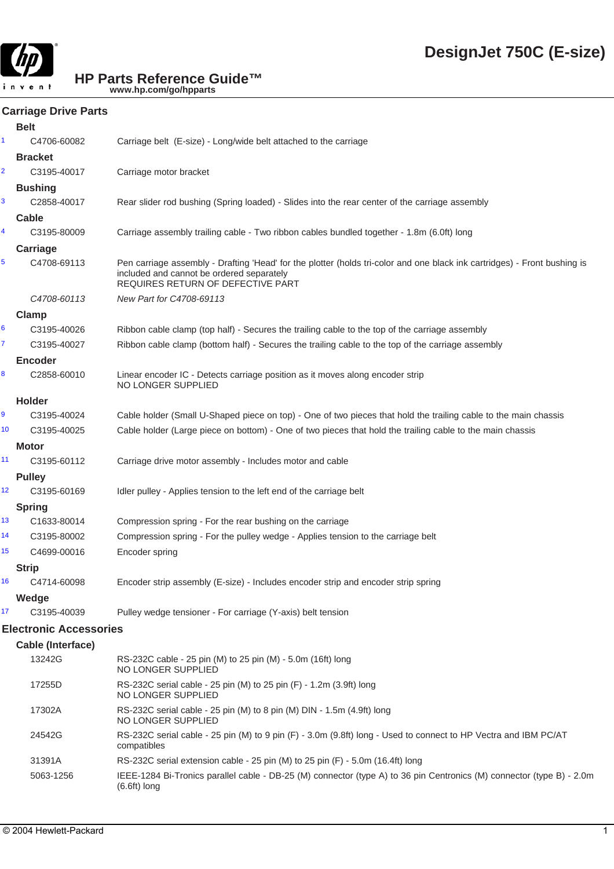

# **Carriage Drive Parts**

|                         | <b>Belt</b>                   |                                                                                                                                                                                                             |
|-------------------------|-------------------------------|-------------------------------------------------------------------------------------------------------------------------------------------------------------------------------------------------------------|
| 1.                      | C4706-60082                   | Carriage belt (E-size) - Long/wide belt attached to the carriage                                                                                                                                            |
|                         | <b>Bracket</b>                |                                                                                                                                                                                                             |
| $\overline{\mathbf{c}}$ | C3195-40017                   | Carriage motor bracket                                                                                                                                                                                      |
|                         | <b>Bushing</b>                |                                                                                                                                                                                                             |
| 3                       | C2858-40017                   | Rear slider rod bushing (Spring loaded) - Slides into the rear center of the carriage assembly                                                                                                              |
|                         | Cable                         |                                                                                                                                                                                                             |
| 4                       | C3195-80009                   | Carriage assembly trailing cable - Two ribbon cables bundled together - 1.8m (6.0ft) long                                                                                                                   |
|                         | Carriage                      |                                                                                                                                                                                                             |
| 5                       | C4708-69113                   | Pen carriage assembly - Drafting 'Head' for the plotter (holds tri-color and one black ink cartridges) - Front bushing is<br>included and cannot be ordered separately<br>REQUIRES RETURN OF DEFECTIVE PART |
|                         | C4708-60113                   | New Part for C4708-69113                                                                                                                                                                                    |
|                         | Clamp                         |                                                                                                                                                                                                             |
| 6                       | C3195-40026                   | Ribbon cable clamp (top half) - Secures the trailing cable to the top of the carriage assembly                                                                                                              |
| 7                       | C3195-40027                   | Ribbon cable clamp (bottom half) - Secures the trailing cable to the top of the carriage assembly                                                                                                           |
|                         | <b>Encoder</b>                |                                                                                                                                                                                                             |
| 8                       | C2858-60010                   | Linear encoder IC - Detects carriage position as it moves along encoder strip<br>NO LONGER SUPPLIED                                                                                                         |
|                         | <b>Holder</b>                 |                                                                                                                                                                                                             |
| 9                       | C3195-40024                   | Cable holder (Small U-Shaped piece on top) - One of two pieces that hold the trailing cable to the main chassis                                                                                             |
| 10                      | C3195-40025                   | Cable holder (Large piece on bottom) - One of two pieces that hold the trailing cable to the main chassis                                                                                                   |
|                         | Motor                         |                                                                                                                                                                                                             |
| 11                      | C3195-60112                   | Carriage drive motor assembly - Includes motor and cable                                                                                                                                                    |
|                         | <b>Pulley</b>                 |                                                                                                                                                                                                             |
| 12                      | C3195-60169                   | Idler pulley - Applies tension to the left end of the carriage belt                                                                                                                                         |
|                         | <b>Spring</b>                 |                                                                                                                                                                                                             |
| 13                      | C1633-80014                   | Compression spring - For the rear bushing on the carriage                                                                                                                                                   |
| 14                      | C3195-80002                   | Compression spring - For the pulley wedge - Applies tension to the carriage belt                                                                                                                            |
| 15                      | C4699-00016                   | Encoder spring                                                                                                                                                                                              |
|                         | <b>Strip</b>                  |                                                                                                                                                                                                             |
| 16                      | C4714-60098                   | Encoder strip assembly (E-size) - Includes encoder strip and encoder strip spring                                                                                                                           |
|                         | Wedge                         |                                                                                                                                                                                                             |
| 17                      | C3195-40039                   | Pulley wedge tensioner - For carriage (Y-axis) belt tension                                                                                                                                                 |
|                         | <b>Electronic Accessories</b> |                                                                                                                                                                                                             |
|                         | Cable (Interface)             |                                                                                                                                                                                                             |
|                         | 13242G                        | RS-232C cable - 25 pin (M) to 25 pin (M) - 5.0m (16ft) long<br>NO LONGER SUPPLIED                                                                                                                           |
|                         | 17255D                        | RS-232C serial cable - 25 pin (M) to 25 pin (F) - 1.2m (3.9ft) long<br>NO LONGER SUPPLIED                                                                                                                   |
|                         | 17302A                        | RS-232C serial cable - 25 pin (M) to 8 pin (M) DIN - 1.5m (4.9ft) long<br>NO LONGER SUPPLIED                                                                                                                |
|                         | 24542G                        | RS-232C serial cable - 25 pin (M) to 9 pin (F) - 3.0m (9.8ft) long - Used to connect to HP Vectra and IBM PC/AT<br>compatibles                                                                              |
|                         | 31391A                        | RS-232C serial extension cable - 25 pin (M) to 25 pin (F) - 5.0m (16.4ft) long                                                                                                                              |
|                         | 5063-1256                     | IEEE-1284 Bi-Tronics parallel cable - DB-25 (M) connector (type A) to 36 pin Centronics (M) connector (type B) - 2.0m<br>$(6.6ft)$ long                                                                     |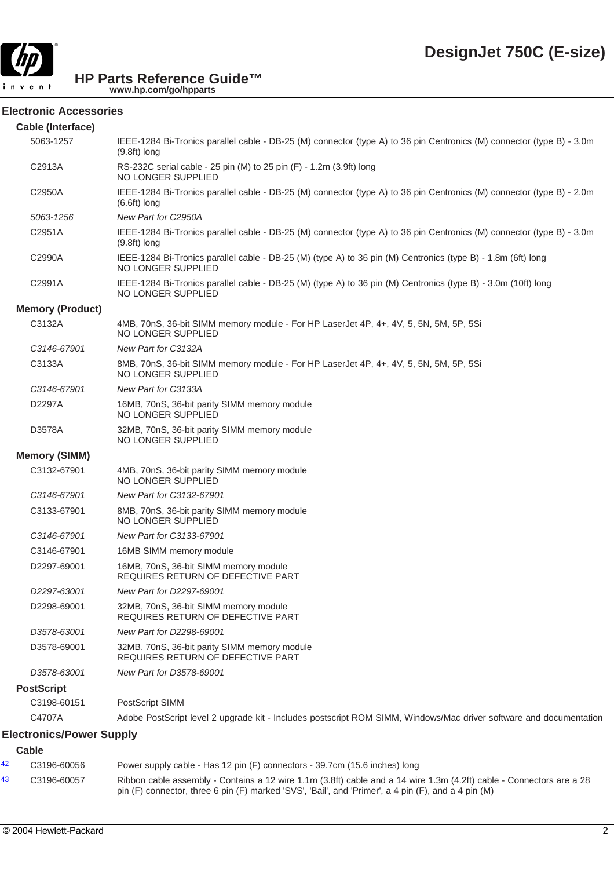

#### **Electronic Accessories**

| Cable (Interface)               |                                                                                                                                         |
|---------------------------------|-----------------------------------------------------------------------------------------------------------------------------------------|
| 5063-1257                       | IEEE-1284 Bi-Tronics parallel cable - DB-25 (M) connector (type A) to 36 pin Centronics (M) connector (type B) - 3.0m<br>$(9.8ft)$ long |
| C2913A                          | RS-232C serial cable - 25 pin (M) to 25 pin (F) - 1.2m (3.9ft) long<br>NO LONGER SUPPLIED                                               |
| C2950A                          | IEEE-1284 Bi-Tronics parallel cable - DB-25 (M) connector (type A) to 36 pin Centronics (M) connector (type B) - 2.0m<br>$(6.6ft)$ long |
| 5063-1256                       | New Part for C2950A                                                                                                                     |
| C2951A                          | IEEE-1284 Bi-Tronics parallel cable - DB-25 (M) connector (type A) to 36 pin Centronics (M) connector (type B) - 3.0m<br>$(9.8ft)$ long |
| C2990A                          | IEEE-1284 Bi-Tronics parallel cable - DB-25 (M) (type A) to 36 pin (M) Centronics (type B) - 1.8m (6ft) long<br>NO LONGER SUPPLIED      |
| C2991A                          | IEEE-1284 Bi-Tronics parallel cable - DB-25 (M) (type A) to 36 pin (M) Centronics (type B) - 3.0m (10ft) long<br>NO LONGER SUPPLIED     |
| <b>Memory (Product)</b>         |                                                                                                                                         |
| C3132A                          | 4MB, 70nS, 36-bit SIMM memory module - For HP LaserJet 4P, 4+, 4V, 5, 5N, 5M, 5P, 5Si<br>NO LONGER SUPPLIED                             |
| C3146-67901                     | New Part for C3132A                                                                                                                     |
| C3133A                          | 8MB, 70nS, 36-bit SIMM memory module - For HP LaserJet 4P, 4+, 4V, 5, 5N, 5M, 5P, 5Si<br>NO LONGER SUPPLIED                             |
| C3146-67901                     | New Part for C3133A                                                                                                                     |
| D2297A                          | 16MB, 70nS, 36-bit parity SIMM memory module<br>NO LONGER SUPPLIED                                                                      |
| D3578A                          | 32MB, 70nS, 36-bit parity SIMM memory module<br>NO LONGER SUPPLIED                                                                      |
| <b>Memory (SIMM)</b>            |                                                                                                                                         |
| C3132-67901                     | 4MB, 70nS, 36-bit parity SIMM memory module<br>NO LONGER SUPPLIED                                                                       |
| C3146-67901                     | New Part for C3132-67901                                                                                                                |
| C3133-67901                     | 8MB, 70nS, 36-bit parity SIMM memory module<br>NO LONGER SUPPLIED                                                                       |
| C3146-67901                     | New Part for C3133-67901                                                                                                                |
| C3146-67901                     | 16MB SIMM memory module                                                                                                                 |
| D2297-69001                     | 16MB, 70nS, 36-bit SIMM memory module<br>REQUIRES RETURN OF DEFECTIVE PART                                                              |
| D2297-63001                     | New Part for D2297-69001                                                                                                                |
| D2298-69001                     | 32MB, 70nS, 36-bit SIMM memory module<br><b>REQUIRES RETURN OF DEFECTIVE PART</b>                                                       |
| D3578-63001                     | New Part for D2298-69001                                                                                                                |
| D3578-69001                     | 32MB, 70nS, 36-bit parity SIMM memory module<br>REQUIRES RETURN OF DEFECTIVE PART                                                       |
| D3578-63001                     | New Part for D3578-69001                                                                                                                |
| <b>PostScript</b>               |                                                                                                                                         |
| C3198-60151                     | PostScript SIMM                                                                                                                         |
| C4707A                          | Adobe PostScript level 2 upgrade kit - Includes postscript ROM SIMM, Windows/Mac driver software and documentation                      |
| <b>Electronics/Power Supply</b> |                                                                                                                                         |
| Cable                           |                                                                                                                                         |

#### 42 C3196-60056 Power supply cable - Has 12 pin (F) connectors - 39.7cm (15.6 inches) long 43 C3196-60057 Ribbon cable assembly - Contains a 12 wire 1.1m (3.8ft) cable and a 14 wire 1.3m (4.2ft) cable - Connectors are a 28 pin (F) connector, three 6 pin (F) marked 'SVS', 'Bail', and 'Primer', a 4 pin (F), and a 4 pin (M)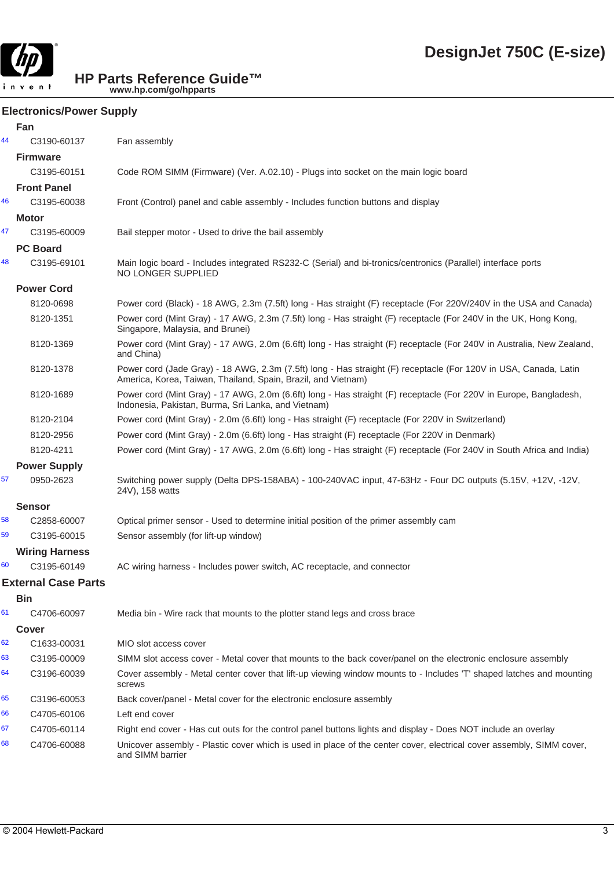

#### **Electronics/Power Supply**

|    | Fan                        |                                                                                                                                                                                   |
|----|----------------------------|-----------------------------------------------------------------------------------------------------------------------------------------------------------------------------------|
| 44 | C3190-60137                | Fan assembly                                                                                                                                                                      |
|    | <b>Firmware</b>            |                                                                                                                                                                                   |
|    | C3195-60151                | Code ROM SIMM (Firmware) (Ver. A.02.10) - Plugs into socket on the main logic board                                                                                               |
|    | <b>Front Panel</b>         |                                                                                                                                                                                   |
| 46 | C3195-60038                | Front (Control) panel and cable assembly - Includes function buttons and display                                                                                                  |
|    | Motor                      |                                                                                                                                                                                   |
| 47 | C3195-60009                | Bail stepper motor - Used to drive the bail assembly                                                                                                                              |
|    | <b>PC Board</b>            |                                                                                                                                                                                   |
| 48 | C3195-69101                | Main logic board - Includes integrated RS232-C (Serial) and bi-tronics/centronics (Parallel) interface ports<br>NO LONGER SUPPLIED                                                |
|    | <b>Power Cord</b>          |                                                                                                                                                                                   |
|    | 8120-0698                  | Power cord (Black) - 18 AWG, 2.3m (7.5ft) long - Has straight (F) receptacle (For 220V/240V in the USA and Canada)                                                                |
|    | 8120-1351                  | Power cord (Mint Gray) - 17 AWG, 2.3m (7.5ft) long - Has straight (F) receptacle (For 240V in the UK, Hong Kong,<br>Singapore, Malaysia, and Brunei)                              |
|    | 8120-1369                  | Power cord (Mint Gray) - 17 AWG, 2.0m (6.6ft) long - Has straight (F) receptacle (For 240V in Australia, New Zealand,<br>and China)                                               |
|    | 8120-1378                  | Power cord (Jade Gray) - 18 AWG, 2.3m (7.5ft) long - Has straight (F) receptacle (For 120V in USA, Canada, Latin<br>America, Korea, Taiwan, Thailand, Spain, Brazil, and Vietnam) |
|    | 8120-1689                  | Power cord (Mint Gray) - 17 AWG, 2.0m (6.6ft) long - Has straight (F) receptacle (For 220V in Europe, Bangladesh,<br>Indonesia, Pakistan, Burma, Sri Lanka, and Vietnam)          |
|    | 8120-2104                  | Power cord (Mint Gray) - 2.0m (6.6ft) long - Has straight (F) receptacle (For 220V in Switzerland)                                                                                |
|    | 8120-2956                  | Power cord (Mint Gray) - 2.0m (6.6ft) long - Has straight (F) receptacle (For 220V in Denmark)                                                                                    |
|    | 8120-4211                  | Power cord (Mint Gray) - 17 AWG, 2.0m (6.6ft) long - Has straight (F) receptacle (For 240V in South Africa and India)                                                             |
|    | <b>Power Supply</b>        |                                                                                                                                                                                   |
| 57 | 0950-2623                  | Switching power supply (Delta DPS-158ABA) - 100-240VAC input, 47-63Hz - Four DC outputs (5.15V, +12V, -12V,<br>24V), 158 watts                                                    |
|    | <b>Sensor</b>              |                                                                                                                                                                                   |
| 58 | C2858-60007                | Optical primer sensor - Used to determine initial position of the primer assembly cam                                                                                             |
| 59 | C3195-60015                | Sensor assembly (for lift-up window)                                                                                                                                              |
|    | <b>Wiring Harness</b>      |                                                                                                                                                                                   |
| 60 | C3195-60149                | AC wiring harness - Includes power switch, AC receptacle, and connector                                                                                                           |
|    | <b>External Case Parts</b> |                                                                                                                                                                                   |
|    | <b>Bin</b>                 |                                                                                                                                                                                   |
| 61 | C4706-60097                | Media bin - Wire rack that mounts to the plotter stand legs and cross brace                                                                                                       |
|    | <b>Cover</b>               |                                                                                                                                                                                   |
| 62 | C1633-00031                | MIO slot access cover                                                                                                                                                             |
| 63 | C3195-00009                | SIMM slot access cover - Metal cover that mounts to the back cover/panel on the electronic enclosure assembly                                                                     |
| 64 | C3196-60039                | Cover assembly - Metal center cover that lift-up viewing window mounts to - Includes 'T' shaped latches and mounting<br>screws                                                    |
| 65 | C3196-60053                | Back cover/panel - Metal cover for the electronic enclosure assembly                                                                                                              |
| 66 | C4705-60106                | Left end cover                                                                                                                                                                    |
| 67 | C4705-60114                | Right end cover - Has cut outs for the control panel buttons lights and display - Does NOT include an overlay                                                                     |
| 68 | C4706-60088                | Unicover assembly - Plastic cover which is used in place of the center cover, electrical cover assembly, SIMM cover,<br>and SIMM barrier                                          |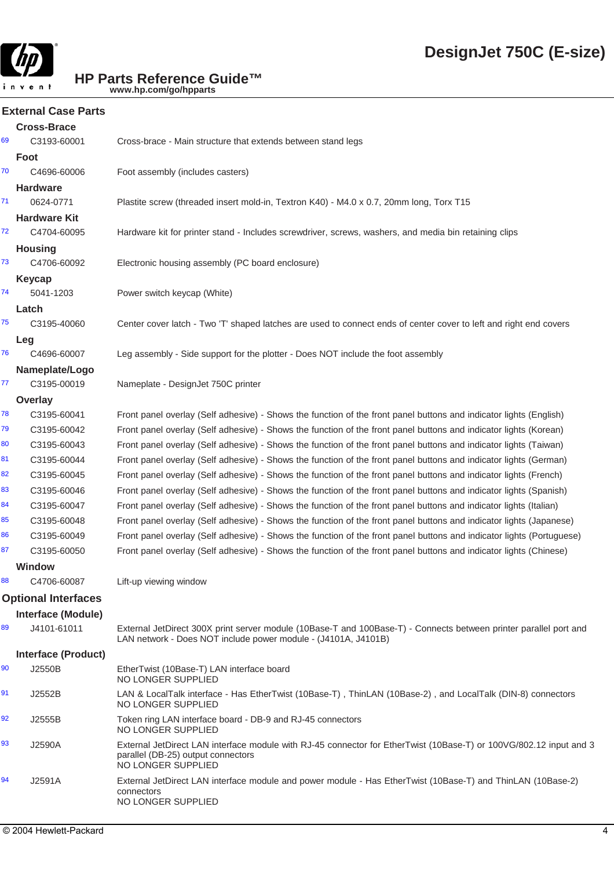

#### **External Case Parts**

|    | <b>Cross-Brace</b>         |                                                                                                                                                                                     |
|----|----------------------------|-------------------------------------------------------------------------------------------------------------------------------------------------------------------------------------|
| 69 | C3193-60001                | Cross-brace - Main structure that extends between stand legs                                                                                                                        |
|    | Foot                       |                                                                                                                                                                                     |
| 70 | C4696-60006                | Foot assembly (includes casters)                                                                                                                                                    |
|    | <b>Hardware</b>            |                                                                                                                                                                                     |
| 71 | 0624-0771                  | Plastite screw (threaded insert mold-in, Textron K40) - M4.0 x 0.7, 20mm long, Torx T15                                                                                             |
|    | <b>Hardware Kit</b>        |                                                                                                                                                                                     |
| 72 | C4704-60095                | Hardware kit for printer stand - Includes screwdriver, screws, washers, and media bin retaining clips                                                                               |
|    | <b>Housing</b>             |                                                                                                                                                                                     |
| 73 | C4706-60092                | Electronic housing assembly (PC board enclosure)                                                                                                                                    |
|    | <b>Keycap</b>              |                                                                                                                                                                                     |
| 74 | 5041-1203                  | Power switch keycap (White)                                                                                                                                                         |
|    | Latch                      |                                                                                                                                                                                     |
| 75 | C3195-40060                | Center cover latch - Two 'T' shaped latches are used to connect ends of center cover to left and right end covers                                                                   |
|    | Leg                        |                                                                                                                                                                                     |
| 76 | C4696-60007                | Leg assembly - Side support for the plotter - Does NOT include the foot assembly                                                                                                    |
|    | Nameplate/Logo             |                                                                                                                                                                                     |
| 77 | C3195-00019                | Nameplate - DesignJet 750C printer                                                                                                                                                  |
|    | Overlay                    |                                                                                                                                                                                     |
| 78 | C3195-60041                | Front panel overlay (Self adhesive) - Shows the function of the front panel buttons and indicator lights (English)                                                                  |
| 79 | C3195-60042                | Front panel overlay (Self adhesive) - Shows the function of the front panel buttons and indicator lights (Korean)                                                                   |
| 80 | C3195-60043                | Front panel overlay (Self adhesive) - Shows the function of the front panel buttons and indicator lights (Taiwan)                                                                   |
| 81 | C3195-60044                | Front panel overlay (Self adhesive) - Shows the function of the front panel buttons and indicator lights (German)                                                                   |
| 82 | C3195-60045                | Front panel overlay (Self adhesive) - Shows the function of the front panel buttons and indicator lights (French)                                                                   |
| 83 | C3195-60046                | Front panel overlay (Self adhesive) - Shows the function of the front panel buttons and indicator lights (Spanish)                                                                  |
| 84 | C3195-60047                | Front panel overlay (Self adhesive) - Shows the function of the front panel buttons and indicator lights (Italian)                                                                  |
| 85 | C3195-60048                | Front panel overlay (Self adhesive) - Shows the function of the front panel buttons and indicator lights (Japanese)                                                                 |
| 86 | C3195-60049                | Front panel overlay (Self adhesive) - Shows the function of the front panel buttons and indicator lights (Portuguese)                                                               |
| 87 | C3195-60050                | Front panel overlay (Self adhesive) - Shows the function of the front panel buttons and indicator lights (Chinese)                                                                  |
|    | <b>Window</b>              |                                                                                                                                                                                     |
| 88 | C4706-60087                | Lift-up viewing window                                                                                                                                                              |
|    | <b>Optional Interfaces</b> |                                                                                                                                                                                     |
|    | <b>Interface (Module)</b>  |                                                                                                                                                                                     |
| 89 | J4101-61011                | External JetDirect 300X print server module (10Base-T and 100Base-T) - Connects between printer parallel port and<br>LAN network - Does NOT include power module - (J4101A, J4101B) |
|    | <b>Interface (Product)</b> |                                                                                                                                                                                     |
| 90 | J2550B                     | EtherTwist (10Base-T) LAN interface board<br><b>NO LONGER SUPPLIED</b>                                                                                                              |
| 91 | J2552B                     | LAN & LocalTalk interface - Has EtherTwist (10Base-T), ThinLAN (10Base-2), and LocalTalk (DIN-8) connectors<br><b>NO LONGER SUPPLIED</b>                                            |
| 92 | J2555B                     | Token ring LAN interface board - DB-9 and RJ-45 connectors<br>NO LONGER SUPPLIED                                                                                                    |
| 93 | J2590A                     | External JetDirect LAN interface module with RJ-45 connector for EtherTwist (10Base-T) or 100VG/802.12 input and 3<br>parallel (DB-25) output connectors<br>NO LONGER SUPPLIED      |
| 94 | J2591A                     | External JetDirect LAN interface module and power module - Has EtherTwist (10Base-T) and ThinLAN (10Base-2)<br>connectors<br><b>NO LONGER SUPPLIED</b>                              |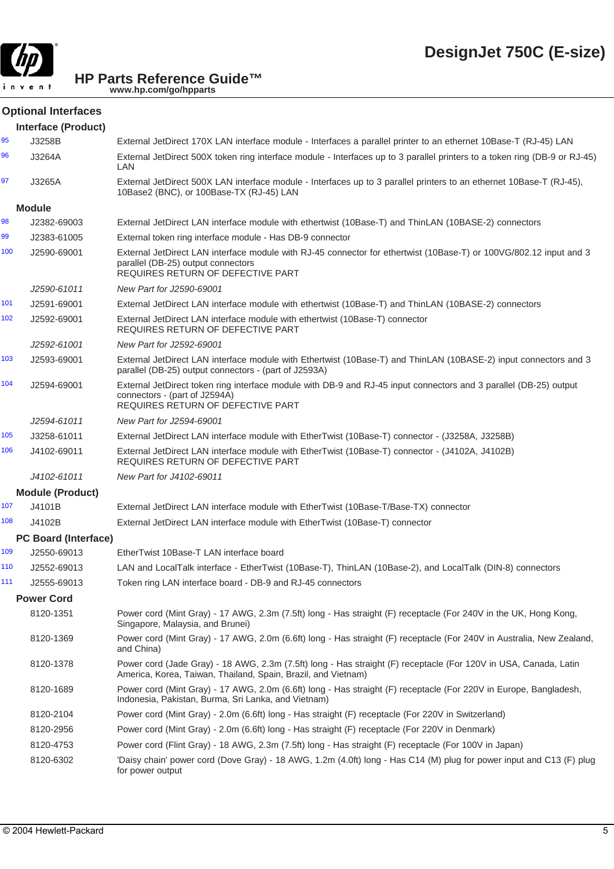

## **Optional Interfaces**

|     | <b>Interface (Product)</b>  |                                                                                                                                                                                               |
|-----|-----------------------------|-----------------------------------------------------------------------------------------------------------------------------------------------------------------------------------------------|
| 95  | J3258B                      | External JetDirect 170X LAN interface module - Interfaces a parallel printer to an ethernet 10Base-T (RJ-45) LAN                                                                              |
| 96  | J3264A                      | External JetDirect 500X token ring interface module - Interfaces up to 3 parallel printers to a token ring (DB-9 or RJ-45)<br>LAN                                                             |
| 97  | J3265A                      | External JetDirect 500X LAN interface module - Interfaces up to 3 parallel printers to an ethernet 10Base-T (RJ-45),<br>10Base2 (BNC), or 100Base-TX (RJ-45) LAN                              |
|     | <b>Module</b>               |                                                                                                                                                                                               |
| 98  | J2382-69003                 | External JetDirect LAN interface module with ethertwist (10Base-T) and ThinLAN (10BASE-2) connectors                                                                                          |
| 99  | J2383-61005                 | External token ring interface module - Has DB-9 connector                                                                                                                                     |
| 100 | J2590-69001                 | External JetDirect LAN interface module with RJ-45 connector for ethertwist (10Base-T) or 100VG/802.12 input and 3<br>parallel (DB-25) output connectors<br>REQUIRES RETURN OF DEFECTIVE PART |
|     | J2590-61011                 | New Part for J2590-69001                                                                                                                                                                      |
| 101 | J2591-69001                 | External JetDirect LAN interface module with ethertwist (10Base-T) and ThinLAN (10BASE-2) connectors                                                                                          |
| 102 | J2592-69001                 | External JetDirect LAN interface module with ethertwist (10Base-T) connector<br>REQUIRES RETURN OF DEFECTIVE PART                                                                             |
|     | J2592-61001                 | New Part for J2592-69001                                                                                                                                                                      |
| 103 | J2593-69001                 | External JetDirect LAN interface module with Ethertwist (10Base-T) and ThinLAN (10BASE-2) input connectors and 3<br>parallel (DB-25) output connectors - (part of J2593A)                     |
| 104 | J2594-69001                 | External JetDirect token ring interface module with DB-9 and RJ-45 input connectors and 3 parallel (DB-25) output<br>connectors - (part of J2594A)<br>REQUIRES RETURN OF DEFECTIVE PART       |
|     | J2594-61011                 | New Part for J2594-69001                                                                                                                                                                      |
| 105 | J3258-61011                 | External JetDirect LAN interface module with EtherTwist (10Base-T) connector - (J3258A, J3258B)                                                                                               |
| 106 | J4102-69011                 | External JetDirect LAN interface module with EtherTwist (10Base-T) connector - (J4102A, J4102B)<br>REQUIRES RETURN OF DEFECTIVE PART                                                          |
|     | J4102-61011                 | New Part for J4102-69011                                                                                                                                                                      |
|     | <b>Module (Product)</b>     |                                                                                                                                                                                               |
| 107 | J4101B                      | External JetDirect LAN interface module with EtherTwist (10Base-T/Base-TX) connector                                                                                                          |
| 108 | J4102B                      | External JetDirect LAN interface module with EtherTwist (10Base-T) connector                                                                                                                  |
|     | <b>PC Board (Interface)</b> |                                                                                                                                                                                               |
| 109 | J2550-69013                 | EtherTwist 10Base-T LAN interface board                                                                                                                                                       |
| 110 | J2552-69013                 | LAN and LocalTalk interface - EtherTwist (10Base-T), ThinLAN (10Base-2), and LocalTalk (DIN-8) connectors                                                                                     |
| 111 | J2555-69013                 | Token ring LAN interface board - DB-9 and RJ-45 connectors                                                                                                                                    |
|     | <b>Power Cord</b>           |                                                                                                                                                                                               |
|     | 8120-1351                   | Power cord (Mint Gray) - 17 AWG, 2.3m (7.5ft) long - Has straight (F) receptacle (For 240V in the UK, Hong Kong,<br>Singapore, Malaysia, and Brunei)                                          |
|     | 8120-1369                   | Power cord (Mint Gray) - 17 AWG, 2.0m (6.6ft) long - Has straight (F) receptacle (For 240V in Australia, New Zealand,<br>and China)                                                           |
|     | 8120-1378                   | Power cord (Jade Gray) - 18 AWG, 2.3m (7.5ft) long - Has straight (F) receptacle (For 120V in USA, Canada, Latin<br>America, Korea, Taiwan, Thailand, Spain, Brazil, and Vietnam)             |
|     | 8120-1689                   | Power cord (Mint Gray) - 17 AWG, 2.0m (6.6ft) long - Has straight (F) receptacle (For 220V in Europe, Bangladesh,<br>Indonesia, Pakistan, Burma, Sri Lanka, and Vietnam)                      |
|     | 8120-2104                   | Power cord (Mint Gray) - 2.0m (6.6ft) long - Has straight (F) receptacle (For 220V in Switzerland)                                                                                            |
|     | 8120-2956                   | Power cord (Mint Gray) - 2.0m (6.6ft) long - Has straight (F) receptacle (For 220V in Denmark)                                                                                                |
|     | 8120-4753                   | Power cord (Flint Gray) - 18 AWG, 2.3m (7.5ft) long - Has straight (F) receptacle (For 100V in Japan)                                                                                         |
|     | 8120-6302                   | 'Daisy chain' power cord (Dove Gray) - 18 AWG, 1.2m (4.0ft) long - Has C14 (M) plug for power input and C13 (F) plug<br>for power output                                                      |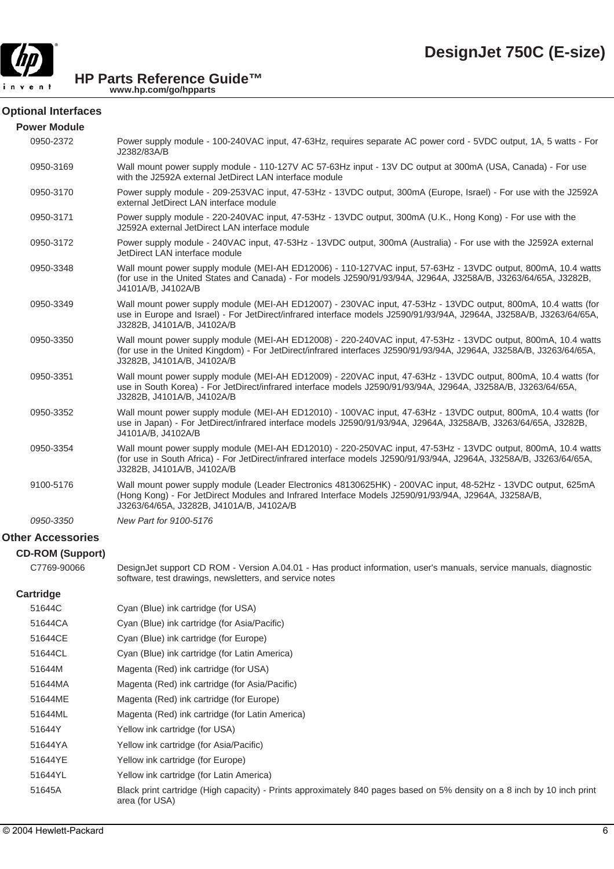

#### **Optional Interfaces**

| <b>Power Module</b>      |                                                                                                                                                                                                                                                                      |
|--------------------------|----------------------------------------------------------------------------------------------------------------------------------------------------------------------------------------------------------------------------------------------------------------------|
| 0950-2372                | Power supply module - 100-240VAC input, 47-63Hz, requires separate AC power cord - 5VDC output, 1A, 5 watts - For<br>J2382/83A/B                                                                                                                                     |
| 0950-3169                | Wall mount power supply module - 110-127V AC 57-63Hz input - 13V DC output at 300mA (USA, Canada) - For use<br>with the J2592A external JetDirect LAN interface module                                                                                               |
| 0950-3170                | Power supply module - 209-253VAC input, 47-53Hz - 13VDC output, 300mA (Europe, Israel) - For use with the J2592A<br>external JetDirect LAN interface module                                                                                                          |
| 0950-3171                | Power supply module - 220-240VAC input, 47-53Hz - 13VDC output, 300mA (U.K., Hong Kong) - For use with the<br>J2592A external JetDirect LAN interface module                                                                                                         |
| 0950-3172                | Power supply module - 240VAC input, 47-53Hz - 13VDC output, 300mA (Australia) - For use with the J2592A external<br>JetDirect LAN interface module                                                                                                                   |
| 0950-3348                | Wall mount power supply module (MEI-AH ED12006) - 110-127VAC input, 57-63Hz - 13VDC output, 800mA, 10.4 watts<br>(for use in the United States and Canada) - For models J2590/91/93/94A, J2964A, J3258A/B, J3263/64/65A, J3282B,<br>J4101A/B, J4102A/B               |
| 0950-3349                | Wall mount power supply module (MEI-AH ED12007) - 230VAC input, 47-53Hz - 13VDC output, 800mA, 10.4 watts (for<br>use in Europe and Israel) - For JetDirect/infrared interface models J2590/91/93/94A, J2964A, J3258A/B, J3263/64/65A,<br>J3282B, J4101A/B, J4102A/B |
| 0950-3350                | Wall mount power supply module (MEI-AH ED12008) - 220-240VAC input, 47-53Hz - 13VDC output, 800mA, 10.4 watts<br>(for use in the United Kingdom) - For JetDirect/infrared interfaces J2590/91/93/94A, J2964A, J3258A/B, J3263/64/65A,<br>J3282B, J4101A/B, J4102A/B  |
| 0950-3351                | Wall mount power supply module (MEI-AH ED12009) - 220VAC input, 47-63Hz - 13VDC output, 800mA, 10.4 watts (for<br>use in South Korea) - For JetDirect/infrared interface models J2590/91/93/94A, J2964A, J3258A/B, J3263/64/65A,<br>J3282B, J4101A/B, J4102A/B       |
| 0950-3352                | Wall mount power supply module (MEI-AH ED12010) - 100VAC input, 47-63Hz - 13VDC output, 800mA, 10.4 watts (for<br>use in Japan) - For JetDirect/infrared interface models J2590/91/93/94A, J2964A, J3258A/B, J3263/64/65A, J3282B,<br>J4101A/B, J4102A/B             |
| 0950-3354                | Wall mount power supply module (MEI-AH ED12010) - 220-250VAC input, 47-53Hz - 13VDC output, 800mA, 10.4 watts<br>(for use in South Africa) - For JetDirect/infrared interface models J2590/91/93/94A, J2964A, J3258A/B, J3263/64/65A,<br>J3282B, J4101A/B, J4102A/B  |
| 9100-5176                | Wall mount power supply module (Leader Electronics 48130625HK) - 200VAC input, 48-52Hz - 13VDC output, 625mA<br>(Hong Kong) - For JetDirect Modules and Infrared Interface Models J2590/91/93/94A, J2964A, J3258A/B,<br>J3263/64/65A, J3282B, J4101A/B, J4102A/B     |
| 0950-3350                | New Part for 9100-5176                                                                                                                                                                                                                                               |
| <b>Other Accessories</b> |                                                                                                                                                                                                                                                                      |
| <b>CD-ROM (Support)</b>  |                                                                                                                                                                                                                                                                      |
| C7769-90066              | DesignJet support CD ROM - Version A.04.01 - Has product information, user's manuals, service manuals, diagnostic<br>software, test drawings, newsletters, and service notes                                                                                         |
| <b>Cartridge</b>         |                                                                                                                                                                                                                                                                      |
| 51644C                   | Cyan (Blue) ink cartridge (for USA)                                                                                                                                                                                                                                  |
| 51644CA                  | Cyan (Blue) ink cartridge (for Asia/Pacific)                                                                                                                                                                                                                         |
| 51644CE                  | Cyan (Blue) ink cartridge (for Europe)                                                                                                                                                                                                                               |
| 51644CL                  | Cyan (Blue) ink cartridge (for Latin America)                                                                                                                                                                                                                        |
| 51644M                   | Magenta (Red) ink cartridge (for USA)                                                                                                                                                                                                                                |
| 51644MA                  | Magenta (Red) ink cartridge (for Asia/Pacific)                                                                                                                                                                                                                       |
| 51644ME                  | Magenta (Red) ink cartridge (for Europe)                                                                                                                                                                                                                             |

- 51644ML Magenta (Red) ink cartridge (for Latin America)
- 51644Y Yellow ink cartridge (for USA)
- 51644YA Yellow ink cartridge (for Asia/Pacific)
- 51644YE Yellow ink cartridge (for Europe)
- 51644YL Yellow ink cartridge (for Latin America)
- 51645A Black print cartridge (High capacity) Prints approximately 840 pages based on 5% density on a 8 inch by 10 inch print area (for USA)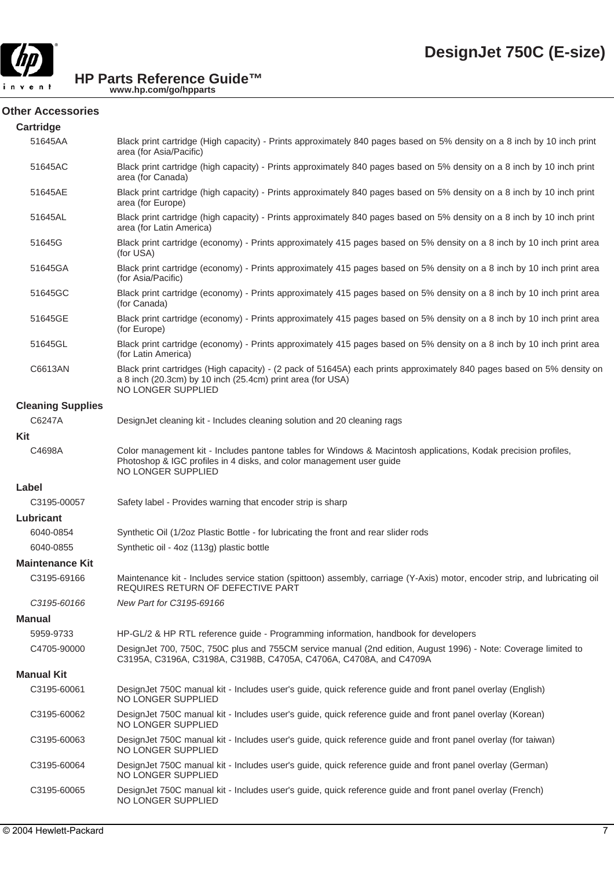

| <b>Cartridge</b>         |                                                                                                                                                                                                              |
|--------------------------|--------------------------------------------------------------------------------------------------------------------------------------------------------------------------------------------------------------|
| 51645AA                  | Black print cartridge (High capacity) - Prints approximately 840 pages based on 5% density on a 8 inch by 10 inch print<br>area (for Asia/Pacific)                                                           |
| 51645AC                  | Black print cartridge (high capacity) - Prints approximately 840 pages based on 5% density on a 8 inch by 10 inch print<br>area (for Canada)                                                                 |
| 51645AE                  | Black print cartridge (high capacity) - Prints approximately 840 pages based on 5% density on a 8 inch by 10 inch print<br>area (for Europe)                                                                 |
| 51645AL                  | Black print cartridge (high capacity) - Prints approximately 840 pages based on 5% density on a 8 inch by 10 inch print<br>area (for Latin America)                                                          |
| 51645G                   | Black print cartridge (economy) - Prints approximately 415 pages based on 5% density on a 8 inch by 10 inch print area<br>(for USA)                                                                          |
| 51645GA                  | Black print cartridge (economy) - Prints approximately 415 pages based on 5% density on a 8 inch by 10 inch print area<br>(for Asia/Pacific)                                                                 |
| 51645GC                  | Black print cartridge (economy) - Prints approximately 415 pages based on 5% density on a 8 inch by 10 inch print area<br>(for Canada)                                                                       |
| 51645GE                  | Black print cartridge (economy) - Prints approximately 415 pages based on 5% density on a 8 inch by 10 inch print area<br>(for Europe)                                                                       |
| 51645GL                  | Black print cartridge (economy) - Prints approximately 415 pages based on 5% density on a 8 inch by 10 inch print area<br>(for Latin America)                                                                |
| C6613AN                  | Black print cartridges (High capacity) - (2 pack of 51645A) each prints approximately 840 pages based on 5% density on<br>a 8 inch (20.3cm) by 10 inch (25.4cm) print area (for USA)<br>NO LONGER SUPPLIED   |
| <b>Cleaning Supplies</b> |                                                                                                                                                                                                              |
| C6247A                   | DesignJet cleaning kit - Includes cleaning solution and 20 cleaning rags                                                                                                                                     |
| Kit                      |                                                                                                                                                                                                              |
| C4698A                   | Color management kit - Includes pantone tables for Windows & Macintosh applications, Kodak precision profiles,<br>Photoshop & IGC profiles in 4 disks, and color management user guide<br>NO LONGER SUPPLIED |
| Label                    |                                                                                                                                                                                                              |
| C3195-00057              | Safety label - Provides warning that encoder strip is sharp                                                                                                                                                  |
| Lubricant                |                                                                                                                                                                                                              |
| 6040-0854                | Synthetic Oil (1/2oz Plastic Bottle - for lubricating the front and rear slider rods                                                                                                                         |
| 6040-0855                | Synthetic oil - 4oz (113g) plastic bottle                                                                                                                                                                    |
| <b>Maintenance Kit</b>   |                                                                                                                                                                                                              |
| C3195-69166              | Maintenance kit - Includes service station (spittoon) assembly, carriage (Y-Axis) motor, encoder strip, and lubricating oil<br>REQUIRES RETURN OF DEFECTIVE PART                                             |
| C3195-60166              | New Part for C3195-69166                                                                                                                                                                                     |
| <b>Manual</b>            |                                                                                                                                                                                                              |
| 5959-9733                | HP-GL/2 & HP RTL reference guide - Programming information, handbook for developers                                                                                                                          |
| C4705-90000              | DesignJet 700, 750C, 750C plus and 755CM service manual (2nd edition, August 1996) - Note: Coverage limited to<br>C3195A, C3196A, C3198A, C3198B, C4705A, C4706A, C4708A, and C4709A                         |
| <b>Manual Kit</b>        |                                                                                                                                                                                                              |
| C3195-60061              | DesignJet 750C manual kit - Includes user's guide, quick reference guide and front panel overlay (English)<br>NO LONGER SUPPLIED                                                                             |
| C3195-60062              | DesignJet 750C manual kit - Includes user's guide, quick reference guide and front panel overlay (Korean)<br>NO LONGER SUPPLIED                                                                              |
| C3195-60063              | DesignJet 750C manual kit - Includes user's guide, quick reference guide and front panel overlay (for taiwan)<br>NO LONGER SUPPLIED                                                                          |
| C3195-60064              | DesignJet 750C manual kit - Includes user's guide, quick reference guide and front panel overlay (German)<br>NO LONGER SUPPLIED                                                                              |
| C3195-60065              | DesignJet 750C manual kit - Includes user's guide, quick reference guide and front panel overlay (French)<br>NO LONGER SUPPLIED                                                                              |
|                          |                                                                                                                                                                                                              |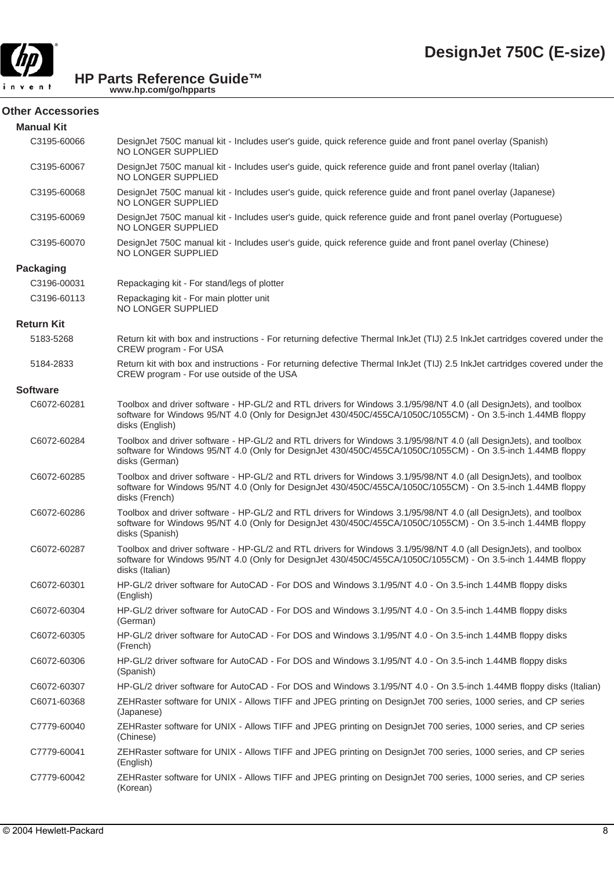

#### **Other Accessories**

| <b>Manual Kit</b> |                                                                                                                                                                                                                                                    |
|-------------------|----------------------------------------------------------------------------------------------------------------------------------------------------------------------------------------------------------------------------------------------------|
| C3195-60066       | DesignJet 750C manual kit - Includes user's guide, quick reference guide and front panel overlay (Spanish)<br>NO LONGER SUPPLIED                                                                                                                   |
| C3195-60067       | DesignJet 750C manual kit - Includes user's guide, quick reference guide and front panel overlay (Italian)<br>NO LONGER SUPPLIED                                                                                                                   |
| C3195-60068       | DesignJet 750C manual kit - Includes user's guide, quick reference guide and front panel overlay (Japanese)<br>NO LONGER SUPPLIED                                                                                                                  |
| C3195-60069       | DesignJet 750C manual kit - Includes user's guide, quick reference guide and front panel overlay (Portuguese)<br>NO LONGER SUPPLIED                                                                                                                |
| C3195-60070       | DesignJet 750C manual kit - Includes user's guide, quick reference guide and front panel overlay (Chinese)<br>NO LONGER SUPPLIED                                                                                                                   |
| <b>Packaging</b>  |                                                                                                                                                                                                                                                    |
| C3196-00031       | Repackaging kit - For stand/legs of plotter                                                                                                                                                                                                        |
| C3196-60113       | Repackaging kit - For main plotter unit<br>NO LONGER SUPPLIED                                                                                                                                                                                      |
| <b>Return Kit</b> |                                                                                                                                                                                                                                                    |
| 5183-5268         | Return kit with box and instructions - For returning defective Thermal InkJet (TIJ) 2.5 InkJet cartridges covered under the<br>CREW program - For USA                                                                                              |
| 5184-2833         | Return kit with box and instructions - For returning defective Thermal InkJet (TIJ) 2.5 InkJet cartridges covered under the<br>CREW program - For use outside of the USA                                                                           |
| <b>Software</b>   |                                                                                                                                                                                                                                                    |
| C6072-60281       | Toolbox and driver software - HP-GL/2 and RTL drivers for Windows 3.1/95/98/NT 4.0 (all DesignJets), and toolbox<br>software for Windows 95/NT 4.0 (Only for DesignJet 430/450C/455CA/1050C/1055CM) - On 3.5-inch 1.44MB floppy<br>disks (English) |
| C6072-60284       | Toolbox and driver software - HP-GL/2 and RTL drivers for Windows 3.1/95/98/NT 4.0 (all DesignJets), and toolbox<br>software for Windows 95/NT 4.0 (Only for DesignJet 430/450C/455CA/1050C/1055CM) - On 3.5-inch 1.44MB floppy<br>disks (German)  |
| C6072-60285       | Toolbox and driver software - HP-GL/2 and RTL drivers for Windows 3.1/95/98/NT 4.0 (all DesignJets), and toolbox<br>software for Windows 95/NT 4.0 (Only for DesignJet 430/450C/455CA/1050C/1055CM) - On 3.5-inch 1.44MB floppy<br>disks (French)  |
| C6072-60286       | Toolbox and driver software - HP-GL/2 and RTL drivers for Windows 3.1/95/98/NT 4.0 (all DesignJets), and toolbox<br>software for Windows 95/NT 4.0 (Only for DesignJet 430/450C/455CA/1050C/1055CM) - On 3.5-inch 1.44MB floppy<br>disks (Spanish) |
| C6072-60287       | Toolbox and driver software - HP-GL/2 and RTL drivers for Windows 3.1/95/98/NT 4.0 (all DesignJets), and toolbox<br>software for Windows 95/NT 4.0 (Only for DesignJet 430/450C/455CA/1050C/1055CM) - On 3.5-inch 1.44MB floppy<br>disks (Italian) |
| C6072-60301       | HP-GL/2 driver software for AutoCAD - For DOS and Windows 3.1/95/NT 4.0 - On 3.5-inch 1.44MB floppy disks<br>(English)                                                                                                                             |
| C6072-60304       | HP-GL/2 driver software for AutoCAD - For DOS and Windows 3.1/95/NT 4.0 - On 3.5-inch 1.44MB floppy disks<br>(German)                                                                                                                              |
| C6072-60305       | HP-GL/2 driver software for AutoCAD - For DOS and Windows 3.1/95/NT 4.0 - On 3.5-inch 1.44MB floppy disks<br>(French)                                                                                                                              |
| C6072-60306       | HP-GL/2 driver software for AutoCAD - For DOS and Windows 3.1/95/NT 4.0 - On 3.5-inch 1.44MB floppy disks<br>(Spanish)                                                                                                                             |
| C6072-60307       | HP-GL/2 driver software for AutoCAD - For DOS and Windows 3.1/95/NT 4.0 - On 3.5-inch 1.44MB floppy disks (Italian)                                                                                                                                |
| C6071-60368       | ZEHRaster software for UNIX - Allows TIFF and JPEG printing on DesignJet 700 series, 1000 series, and CP series<br>(Japanese)                                                                                                                      |
| C7779-60040       | ZEHRaster software for UNIX - Allows TIFF and JPEG printing on DesignJet 700 series, 1000 series, and CP series<br>(Chinese)                                                                                                                       |
| C7779-60041       | ZEHRaster software for UNIX - Allows TIFF and JPEG printing on DesignJet 700 series, 1000 series, and CP series<br>(English)                                                                                                                       |
| C7779-60042       | ZEHRaster software for UNIX - Allows TIFF and JPEG printing on DesignJet 700 series, 1000 series, and CP series<br>(Korean)                                                                                                                        |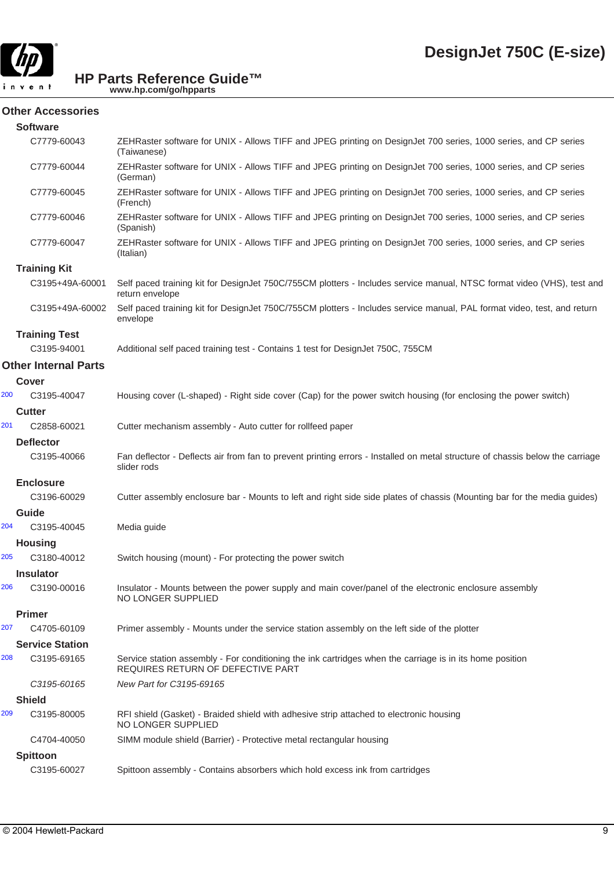

#### **Other Accessories**

|     | <b>Software</b>                            |                                                                                                                                               |
|-----|--------------------------------------------|-----------------------------------------------------------------------------------------------------------------------------------------------|
|     | C7779-60043                                | ZEHRaster software for UNIX - Allows TIFF and JPEG printing on DesignJet 700 series, 1000 series, and CP series<br>(Taiwanese)                |
|     | C7779-60044                                | ZEHRaster software for UNIX - Allows TIFF and JPEG printing on DesignJet 700 series, 1000 series, and CP series<br>(German)                   |
|     | C7779-60045                                | ZEHRaster software for UNIX - Allows TIFF and JPEG printing on DesignJet 700 series, 1000 series, and CP series<br>(French)                   |
|     | C7779-60046                                | ZEHRaster software for UNIX - Allows TIFF and JPEG printing on DesignJet 700 series, 1000 series, and CP series<br>(Spanish)                  |
|     | C7779-60047                                | ZEHRaster software for UNIX - Allows TIFF and JPEG printing on DesignJet 700 series, 1000 series, and CP series<br>(Italian)                  |
|     | <b>Training Kit</b>                        |                                                                                                                                               |
|     | C3195+49A-60001                            | Self paced training kit for DesignJet 750C/755CM plotters - Includes service manual, NTSC format video (VHS), test and<br>return envelope     |
|     | C3195+49A-60002                            | Self paced training kit for DesignJet 750C/755CM plotters - Includes service manual, PAL format video, test, and return<br>envelope           |
|     | <b>Training Test</b>                       |                                                                                                                                               |
|     | C3195-94001<br><b>Other Internal Parts</b> | Additional self paced training test - Contains 1 test for DesignJet 750C, 755CM                                                               |
|     |                                            |                                                                                                                                               |
|     | <b>Cover</b>                               |                                                                                                                                               |
| 200 | C3195-40047                                | Housing cover (L-shaped) - Right side cover (Cap) for the power switch housing (for enclosing the power switch)                               |
|     | <b>Cutter</b>                              |                                                                                                                                               |
| 201 | C2858-60021                                | Cutter mechanism assembly - Auto cutter for rollfeed paper                                                                                    |
|     | <b>Deflector</b>                           |                                                                                                                                               |
|     | C3195-40066                                | Fan deflector - Deflects air from fan to prevent printing errors - Installed on metal structure of chassis below the carriage<br>slider rods  |
|     | <b>Enclosure</b>                           |                                                                                                                                               |
|     | C3196-60029                                | Cutter assembly enclosure bar - Mounts to left and right side side plates of chassis (Mounting bar for the media guides)                      |
|     | Guide                                      |                                                                                                                                               |
| 204 | C3195-40045                                | Media guide                                                                                                                                   |
|     | <b>Housing</b>                             |                                                                                                                                               |
| 205 | C3180-40012                                | Switch housing (mount) - For protecting the power switch                                                                                      |
|     | <b>Insulator</b>                           |                                                                                                                                               |
| 206 | C3190-00016                                | Insulator - Mounts between the power supply and main cover/panel of the electronic enclosure assembly<br>NO LONGER SUPPLIED                   |
|     | <b>Primer</b>                              |                                                                                                                                               |
| 207 | C4705-60109                                | Primer assembly - Mounts under the service station assembly on the left side of the plotter                                                   |
|     | <b>Service Station</b>                     |                                                                                                                                               |
| 208 | C3195-69165                                | Service station assembly - For conditioning the ink cartridges when the carriage is in its home position<br>REQUIRES RETURN OF DEFECTIVE PART |
|     | C3195-60165                                | New Part for C3195-69165                                                                                                                      |
|     | <b>Shield</b>                              |                                                                                                                                               |
| 209 | C3195-80005                                | RFI shield (Gasket) - Braided shield with adhesive strip attached to electronic housing<br><b>NO LONGER SUPPLIED</b>                          |
|     | C4704-40050                                | SIMM module shield (Barrier) - Protective metal rectangular housing                                                                           |
|     | <b>Spittoon</b>                            |                                                                                                                                               |
|     | C3195-60027                                | Spittoon assembly - Contains absorbers which hold excess ink from cartridges                                                                  |
|     |                                            |                                                                                                                                               |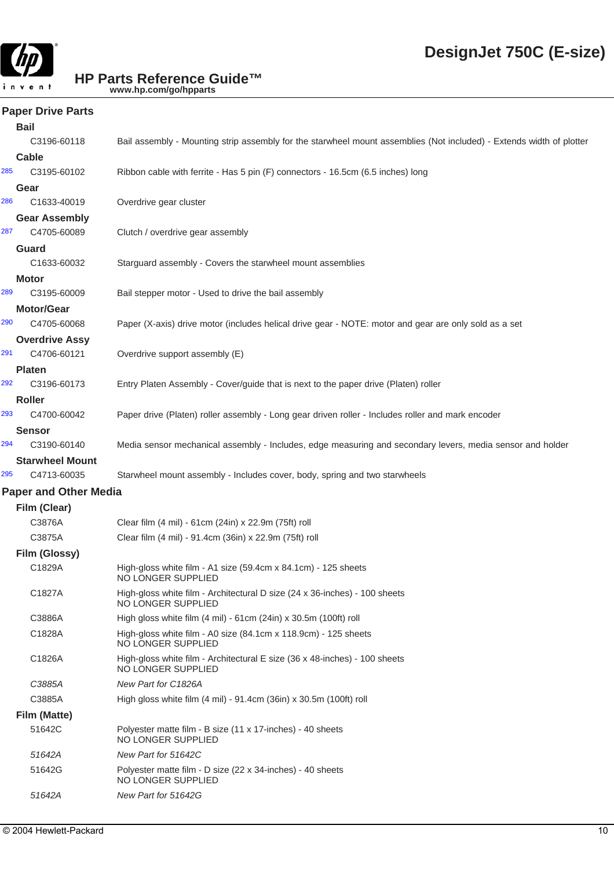

#### **Paper Drive Parts**

|     | <b>Bail</b>                          |                                                                                                                      |
|-----|--------------------------------------|----------------------------------------------------------------------------------------------------------------------|
|     | C3196-60118                          | Bail assembly - Mounting strip assembly for the starwheel mount assemblies (Not included) - Extends width of plotter |
|     | Cable                                |                                                                                                                      |
| 285 | C3195-60102                          | Ribbon cable with ferrite - Has 5 pin (F) connectors - 16.5cm (6.5 inches) long                                      |
|     | Gear                                 |                                                                                                                      |
| 286 | C1633-40019                          | Overdrive gear cluster                                                                                               |
|     | <b>Gear Assembly</b>                 |                                                                                                                      |
| 287 | C4705-60089                          | Clutch / overdrive gear assembly                                                                                     |
|     | Guard                                |                                                                                                                      |
|     | C1633-60032                          | Starguard assembly - Covers the starwheel mount assemblies                                                           |
|     | <b>Motor</b>                         |                                                                                                                      |
| 289 | C3195-60009                          | Bail stepper motor - Used to drive the bail assembly                                                                 |
| 290 | <b>Motor/Gear</b>                    |                                                                                                                      |
|     | C4705-60068                          | Paper (X-axis) drive motor (includes helical drive gear - NOTE: motor and gear are only sold as a set                |
| 291 | <b>Overdrive Assy</b><br>C4706-60121 | Overdrive support assembly (E)                                                                                       |
|     | <b>Platen</b>                        |                                                                                                                      |
| 292 | C3196-60173                          | Entry Platen Assembly - Cover/guide that is next to the paper drive (Platen) roller                                  |
|     | <b>Roller</b>                        |                                                                                                                      |
| 293 | C4700-60042                          | Paper drive (Platen) roller assembly - Long gear driven roller - Includes roller and mark encoder                    |
|     | <b>Sensor</b>                        |                                                                                                                      |
| 294 | C3190-60140                          | Media sensor mechanical assembly - Includes, edge measuring and secondary levers, media sensor and holder            |
|     | <b>Starwheel Mount</b>               |                                                                                                                      |
| 295 | C4713-60035                          | Starwheel mount assembly - Includes cover, body, spring and two starwheels                                           |
|     | <b>Paper and Other Media</b>         |                                                                                                                      |
|     | Film (Clear)                         |                                                                                                                      |
|     | C3876A                               | Clear film (4 mil) - 61cm (24in) x 22.9m (75ft) roll                                                                 |
|     | C3875A                               | Clear film (4 mil) - 91.4cm (36in) x 22.9m (75ft) roll                                                               |
|     | Film (Glossy)                        |                                                                                                                      |
|     | C1829A                               | High-gloss white film - A1 size (59.4cm x 84.1cm) - 125 sheets<br>NO LONGER SUPPLIED                                 |
|     | C1827A                               | High-gloss white film - Architectural D size (24 x 36-inches) - 100 sheets<br>NO LONGER SUPPLIED                     |
|     | C3886A                               | High gloss white film (4 mil) - 61cm (24in) x 30.5m (100ft) roll                                                     |
|     | C1828A                               | High-gloss white film - A0 size (84.1cm x 118.9cm) - 125 sheets<br>NO LONGER SUPPLIED                                |
|     | C1826A                               | High-gloss white film - Architectural E size (36 x 48-inches) - 100 sheets<br>NO LONGER SUPPLIED                     |
|     | C3885A                               | New Part for C1826A                                                                                                  |
|     | C3885A                               | High gloss white film (4 mil) - 91.4cm (36in) x 30.5m (100ft) roll                                                   |
|     | Film (Matte)                         |                                                                                                                      |
|     | 51642C                               | Polyester matte film - B size (11 x 17-inches) - 40 sheets<br>NO LONGER SUPPLIED                                     |
|     | 51642A                               | New Part for 51642C                                                                                                  |
|     | 51642G                               | Polyester matte film - D size (22 x 34-inches) - 40 sheets<br>NO LONGER SUPPLIED                                     |
|     | 51642A                               | New Part for 51642G                                                                                                  |
|     |                                      |                                                                                                                      |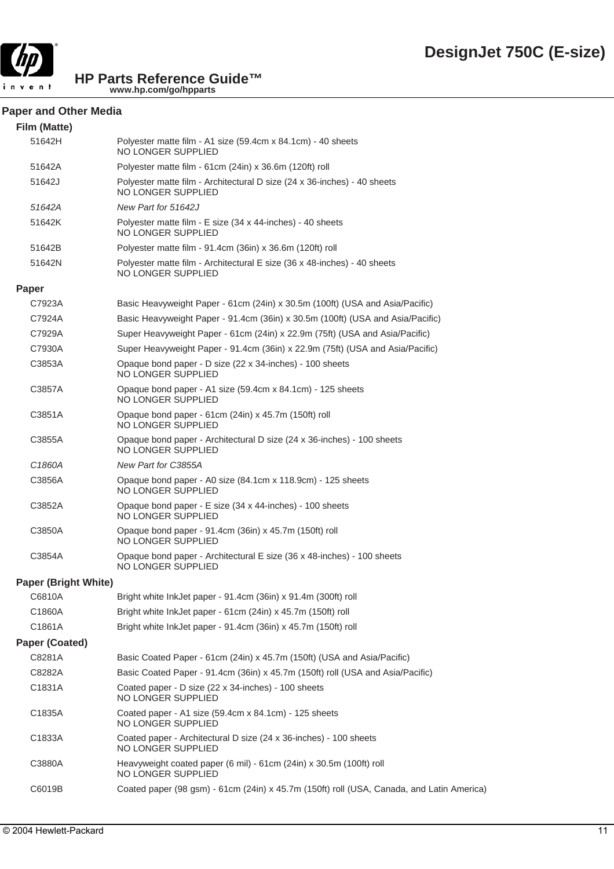

#### **Paper and Other Media**

| Film (Matte)                |                                                                                                       |
|-----------------------------|-------------------------------------------------------------------------------------------------------|
| 51642H                      | Polyester matte film - A1 size (59.4cm x 84.1cm) - 40 sheets<br>NO LONGER SUPPLIED                    |
| 51642A                      | Polyester matte film - 61cm (24in) x 36.6m (120ft) roll                                               |
| 51642J                      | Polyester matte film - Architectural D size (24 x 36-inches) - 40 sheets<br>NO LONGER SUPPLIED        |
| 51642A                      | New Part for 51642J                                                                                   |
| 51642K                      | Polyester matte film - E size (34 x 44-inches) - 40 sheets<br>NO LONGER SUPPLIED                      |
| 51642B                      | Polyester matte film - 91.4cm (36in) x 36.6m (120ft) roll                                             |
| 51642N                      | Polyester matte film - Architectural E size (36 x 48-inches) - 40 sheets<br><b>NO LONGER SUPPLIED</b> |
| Paper                       |                                                                                                       |
| C7923A                      | Basic Heavyweight Paper - 61cm (24in) x 30.5m (100ft) (USA and Asia/Pacific)                          |
| C7924A                      | Basic Heavyweight Paper - 91.4cm (36in) x 30.5m (100ft) (USA and Asia/Pacific)                        |
| C7929A                      | Super Heavyweight Paper - 61cm (24in) x 22.9m (75ft) (USA and Asia/Pacific)                           |
| C7930A                      | Super Heavyweight Paper - 91.4cm (36in) x 22.9m (75ft) (USA and Asia/Pacific)                         |
| C3853A                      | Opaque bond paper - D size (22 x 34-inches) - 100 sheets<br>NO LONGER SUPPLIED                        |
| C3857A                      | Opaque bond paper - A1 size (59.4cm x 84.1cm) - 125 sheets<br>NO LONGER SUPPLIED                      |
| C3851A                      | Opaque bond paper - 61cm (24in) x 45.7m (150ft) roll<br><b>NO LONGER SUPPLIED</b>                     |
| C3855A                      | Opaque bond paper - Architectural D size (24 x 36-inches) - 100 sheets<br><b>NO LONGER SUPPLIED</b>   |
| C1860A                      | New Part for C3855A                                                                                   |
| C3856A                      | Opaque bond paper - A0 size (84.1cm x 118.9cm) - 125 sheets<br>NO LONGER SUPPLIED                     |
| C3852A                      | Opaque bond paper - E size (34 x 44-inches) - 100 sheets<br>NO LONGER SUPPLIED                        |
| C3850A                      | Opaque bond paper - 91.4cm (36in) x 45.7m (150ft) roll<br>NO LONGER SUPPLIED                          |
| C3854A                      | Opaque bond paper - Architectural E size (36 x 48-inches) - 100 sheets<br>NO LONGER SUPPLIED          |
| <b>Paper (Bright White)</b> |                                                                                                       |
| C6810A                      | Bright white InkJet paper - 91.4cm (36in) x 91.4m (300ft) roll                                        |
| C1860A                      | Bright white InkJet paper - 61cm (24in) x 45.7m (150ft) roll                                          |
| C1861A                      | Bright white InkJet paper - 91.4cm (36in) x 45.7m (150ft) roll                                        |
| <b>Paper (Coated)</b>       |                                                                                                       |
| C8281A                      | Basic Coated Paper - 61cm (24in) x 45.7m (150ft) (USA and Asia/Pacific)                               |
| C8282A                      | Basic Coated Paper - 91.4cm (36in) x 45.7m (150ft) roll (USA and Asia/Pacific)                        |
| C1831A                      | Coated paper - D size (22 x 34-inches) - 100 sheets<br><b>NO LONGER SUPPLIED</b>                      |
| C1835A                      | Coated paper - A1 size (59.4cm x 84.1cm) - 125 sheets<br>NO LONGER SUPPLIED                           |
| C1833A                      | Coated paper - Architectural D size (24 x 36-inches) - 100 sheets<br><b>NO LONGER SUPPLIED</b>        |
| C3880A                      | Heavyweight coated paper (6 mil) - 61cm (24in) x 30.5m (100ft) roll<br>NO LONGER SUPPLIED             |
| C6019B                      | Coated paper (98 gsm) - 61cm (24in) x 45.7m (150ft) roll (USA, Canada, and Latin America)             |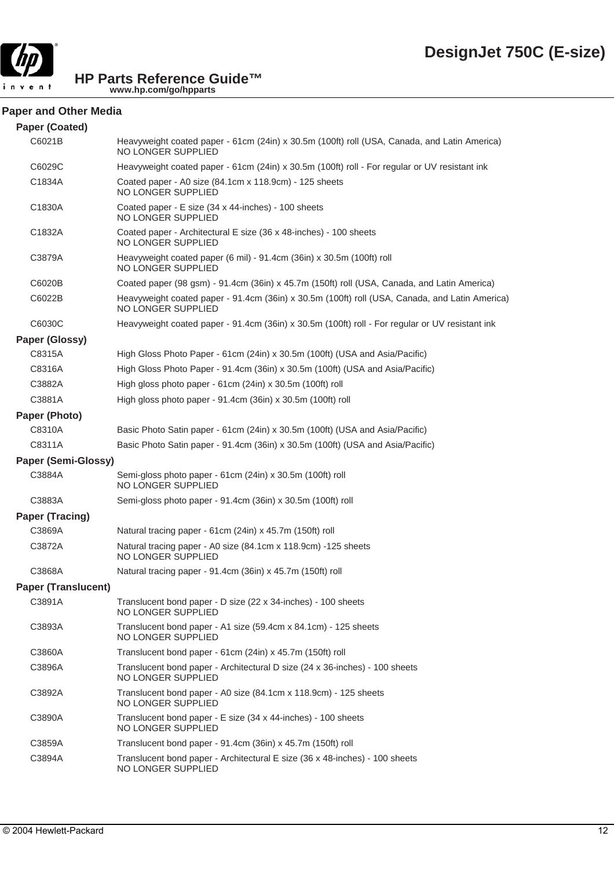

#### **Paper and Other Media**

| <b>Paper (Coated)</b>      |                                                                                                                      |
|----------------------------|----------------------------------------------------------------------------------------------------------------------|
| C6021B                     | Heavyweight coated paper - 61cm (24in) x 30.5m (100ft) roll (USA, Canada, and Latin America)<br>NO LONGER SUPPLIED   |
| C6029C                     | Heavyweight coated paper - 61cm (24in) x 30.5m (100ft) roll - For regular or UV resistant ink                        |
| C1834A                     | Coated paper - A0 size (84.1cm x 118.9cm) - 125 sheets<br>NO LONGER SUPPLIED                                         |
| C1830A                     | Coated paper - E size (34 x 44-inches) - 100 sheets<br>NO LONGER SUPPLIED                                            |
| C1832A                     | Coated paper - Architectural E size (36 x 48-inches) - 100 sheets<br>NO LONGER SUPPLIED                              |
| C3879A                     | Heavyweight coated paper (6 mil) - 91.4cm (36in) x 30.5m (100ft) roll<br>NO LONGER SUPPLIED                          |
| C6020B                     | Coated paper (98 gsm) - 91.4cm (36in) x 45.7m (150ft) roll (USA, Canada, and Latin America)                          |
| C6022B                     | Heavyweight coated paper - 91.4cm (36in) x 30.5m (100ft) roll (USA, Canada, and Latin America)<br>NO LONGER SUPPLIED |
| C6030C                     | Heavyweight coated paper - 91.4cm (36in) x 30.5m (100ft) roll - For regular or UV resistant ink                      |
| Paper (Glossy)             |                                                                                                                      |
| C8315A                     | High Gloss Photo Paper - 61cm (24in) x 30.5m (100ft) (USA and Asia/Pacific)                                          |
| C8316A                     | High Gloss Photo Paper - 91.4cm (36in) x 30.5m (100ft) (USA and Asia/Pacific)                                        |
| C3882A                     | High gloss photo paper - 61cm (24in) x 30.5m (100ft) roll                                                            |
| C3881A                     | High gloss photo paper - 91.4cm (36in) x 30.5m (100ft) roll                                                          |
| Paper (Photo)              |                                                                                                                      |
| C8310A                     | Basic Photo Satin paper - 61cm (24in) x 30.5m (100ft) (USA and Asia/Pacific)                                         |
| C8311A                     | Basic Photo Satin paper - 91.4cm (36in) x 30.5m (100ft) (USA and Asia/Pacific)                                       |
| <b>Paper (Semi-Glossy)</b> |                                                                                                                      |
| C3884A                     | Semi-gloss photo paper - 61cm (24in) x 30.5m (100ft) roll<br>NO LONGER SUPPLIED                                      |
| C3883A                     | Semi-gloss photo paper - 91.4cm (36in) x 30.5m (100ft) roll                                                          |
| <b>Paper (Tracing)</b>     |                                                                                                                      |
| C3869A                     | Natural tracing paper - 61cm (24in) x 45.7m (150ft) roll                                                             |
| C3872A                     | Natural tracing paper - A0 size (84.1cm x 118.9cm) -125 sheets<br>NO LONGER SUPPLIED                                 |
| C3868A                     | Natural tracing paper - 91.4cm (36in) x 45.7m (150ft) roll                                                           |
| <b>Paper (Translucent)</b> |                                                                                                                      |
| C3891A                     | Translucent bond paper - D size (22 x 34-inches) - 100 sheets<br>NO LONGER SUPPLIED                                  |
| C3893A                     | Translucent bond paper - A1 size (59.4cm x 84.1cm) - 125 sheets<br>NO LONGER SUPPLIED                                |
| C3860A                     | Translucent bond paper - 61cm (24in) x 45.7m (150ft) roll                                                            |
| C3896A                     | Translucent bond paper - Architectural D size (24 x 36-inches) - 100 sheets<br>NO LONGER SUPPLIED                    |
| C3892A                     | Translucent bond paper - A0 size (84.1cm x 118.9cm) - 125 sheets<br>NO LONGER SUPPLIED                               |
| C3890A                     | Translucent bond paper - E size (34 x 44-inches) - 100 sheets<br>NO LONGER SUPPLIED                                  |
| C3859A                     | Translucent bond paper - 91.4cm (36in) x 45.7m (150ft) roll                                                          |
| C3894A                     | Translucent bond paper - Architectural E size (36 x 48-inches) - 100 sheets<br>NO LONGER SUPPLIED                    |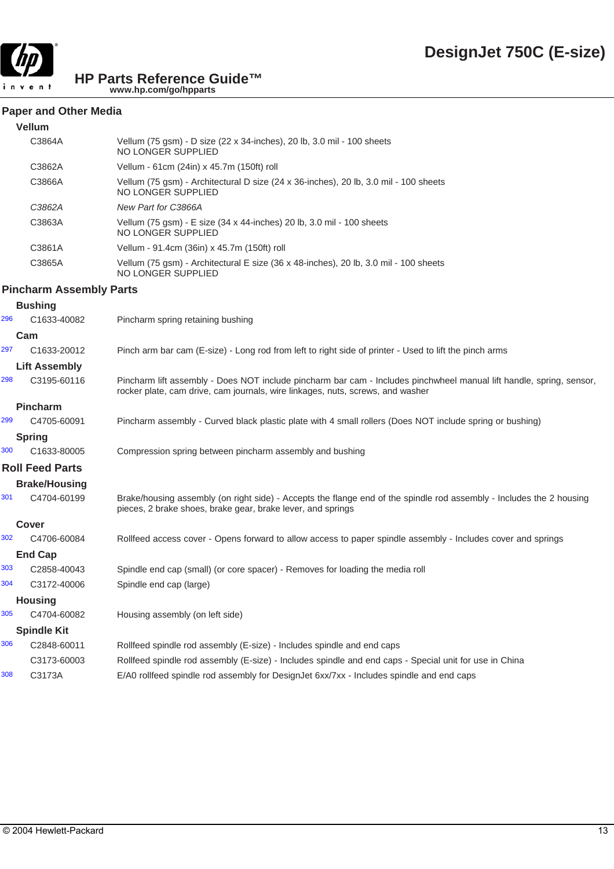

#### **Paper and Other Media**

| <b>Vellum</b> |                                                                                                            |
|---------------|------------------------------------------------------------------------------------------------------------|
| C3864A        | Vellum (75 gsm) - D size (22 x 34-inches), 20 lb, 3.0 mil - 100 sheets<br>NO LONGER SUPPLIED               |
| C3862A        | Vellum - 61cm (24in) x 45.7m (150ft) roll                                                                  |
| C3866A        | Vellum (75 gsm) - Architectural D size (24 x 36-inches), 20 lb, 3.0 mil - 100 sheets<br>NO LONGER SUPPLIED |
| C3862A        | New Part for C3866A                                                                                        |
| C3863A        | Vellum (75 gsm) - E size (34 x 44-inches) 20 lb, 3.0 mil - 100 sheets<br>NO LONGER SUPPLIED                |
| C3861A        | Vellum - 91.4cm (36in) x 45.7m (150ft) roll                                                                |
| C3865A        | Vellum (75 gsm) - Architectural E size (36 x 48-inches), 20 lb, 3.0 mil - 100 sheets<br>NO LONGER SUPPLIED |

#### **Pincharm Assembly Parts**

|     | <b>Bushing</b>         |                                                                                                                                                                                                        |
|-----|------------------------|--------------------------------------------------------------------------------------------------------------------------------------------------------------------------------------------------------|
| 296 | C1633-40082            | Pincharm spring retaining bushing                                                                                                                                                                      |
|     | Cam                    |                                                                                                                                                                                                        |
| 297 | C1633-20012            | Pinch arm bar cam (E-size) - Long rod from left to right side of printer - Used to lift the pinch arms                                                                                                 |
|     | <b>Lift Assembly</b>   |                                                                                                                                                                                                        |
| 298 | C3195-60116            | Pincharm lift assembly - Does NOT include pincharm bar cam - Includes pinchwheel manual lift handle, spring, sensor,<br>rocker plate, cam drive, cam journals, wire linkages, nuts, screws, and washer |
|     | <b>Pincharm</b>        |                                                                                                                                                                                                        |
| 299 | C4705-60091            | Pincharm assembly - Curved black plastic plate with 4 small rollers (Does NOT include spring or bushing)                                                                                               |
|     | <b>Spring</b>          |                                                                                                                                                                                                        |
| 300 | C1633-80005            | Compression spring between pincharm assembly and bushing                                                                                                                                               |
|     | <b>Roll Feed Parts</b> |                                                                                                                                                                                                        |
|     | <b>Brake/Housing</b>   |                                                                                                                                                                                                        |
| 301 | C4704-60199            | Brake/housing assembly (on right side) - Accepts the flange end of the spindle rod assembly - Includes the 2 housing<br>pieces, 2 brake shoes, brake gear, brake lever, and springs                    |
|     | Cover                  |                                                                                                                                                                                                        |
| 302 | C4706-60084            | Rollfeed access cover - Opens forward to allow access to paper spindle assembly - Includes cover and springs                                                                                           |
|     | <b>End Cap</b>         |                                                                                                                                                                                                        |
| 303 | C2858-40043            | Spindle end cap (small) (or core spacer) - Removes for loading the media roll                                                                                                                          |
| 304 | C3172-40006            | Spindle end cap (large)                                                                                                                                                                                |
|     | <b>Housing</b>         |                                                                                                                                                                                                        |
| 305 | C4704-60082            | Housing assembly (on left side)                                                                                                                                                                        |
|     | <b>Spindle Kit</b>     |                                                                                                                                                                                                        |
| 306 | C2848-60011            | Rollfeed spindle rod assembly (E-size) - Includes spindle and end caps                                                                                                                                 |
|     | C3173-60003            | Rollfeed spindle rod assembly (E-size) - Includes spindle and end caps - Special unit for use in China                                                                                                 |
| 308 | C3173A                 | E/A0 rollfeed spindle rod assembly for DesignJet 6xx/7xx - Includes spindle and end caps                                                                                                               |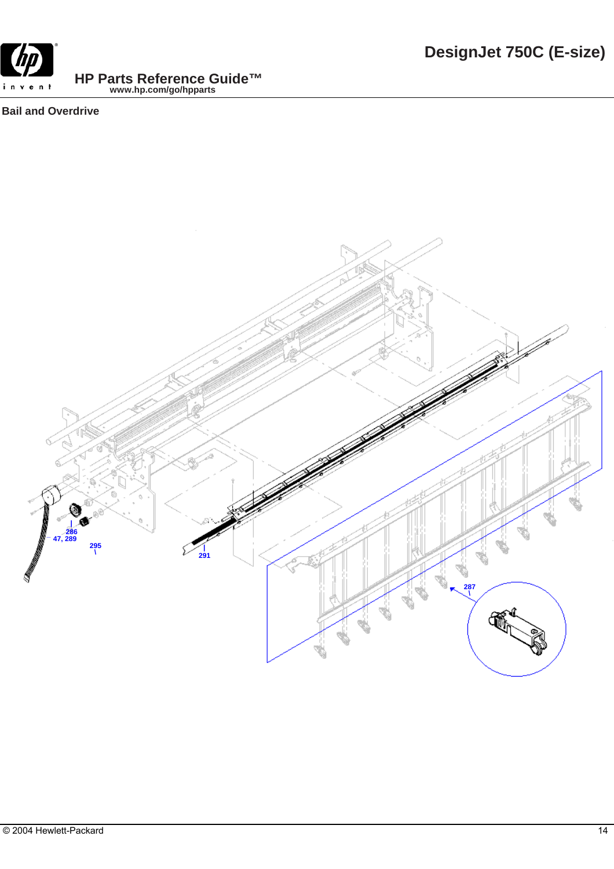

# **Bail and Overdrive**

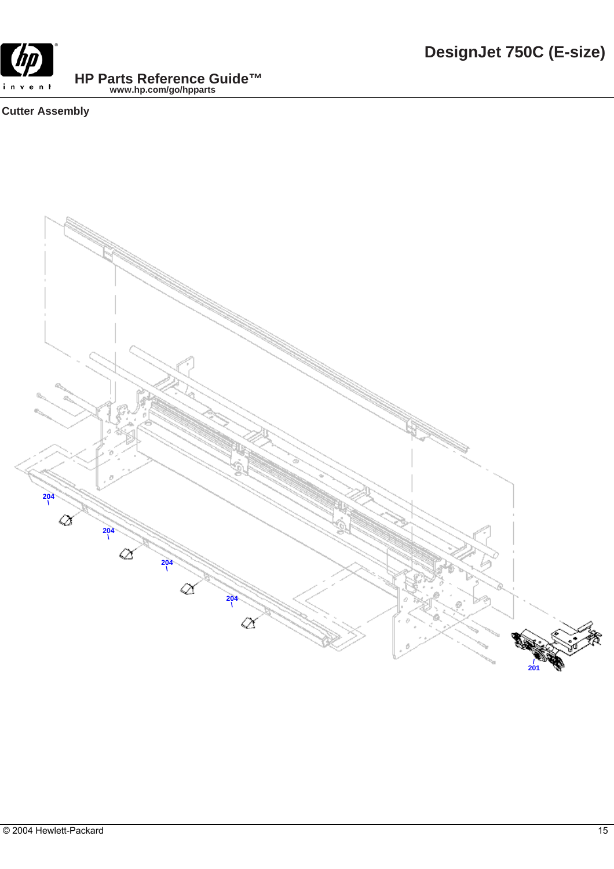# **Cutter Assembly**

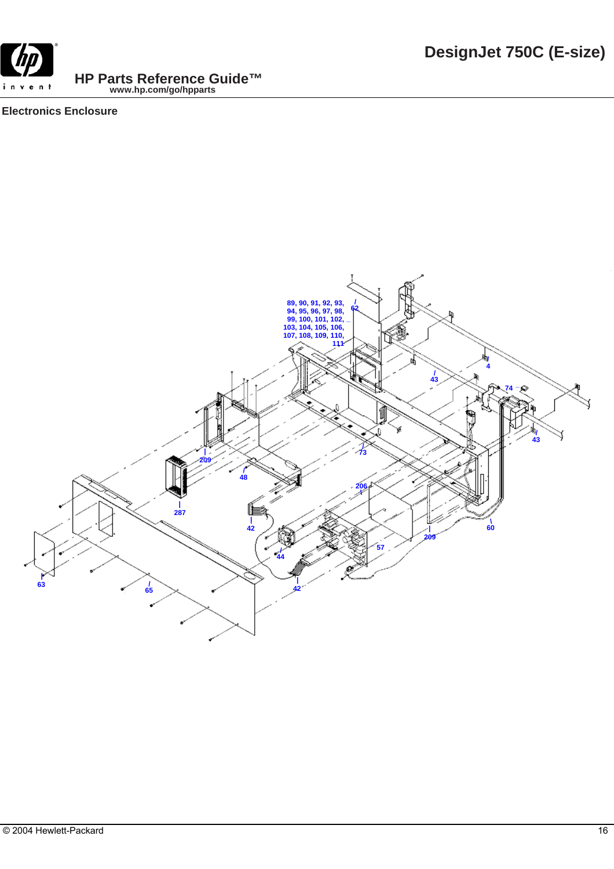**DesignJet 750C (E-size)**

**HP Parts Reference Guide™ www.hp.com/go/hpparts**

# **Electronics Enclosure**

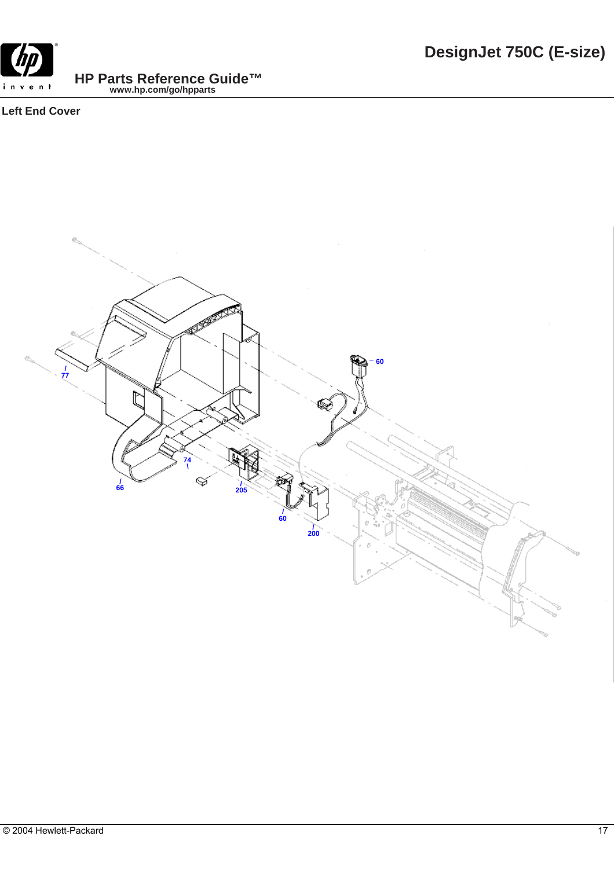

# **Left End Cover**

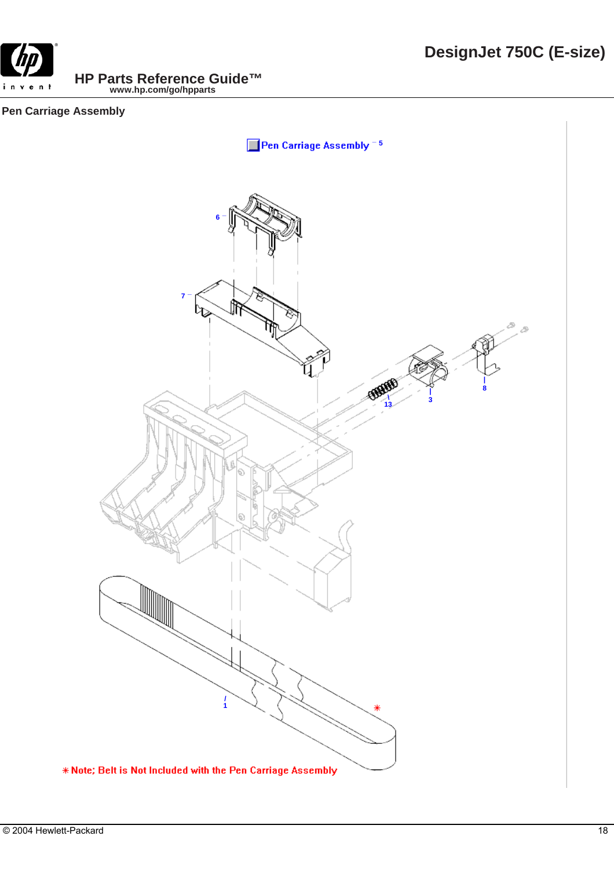

# **Pen Carriage Assembly**

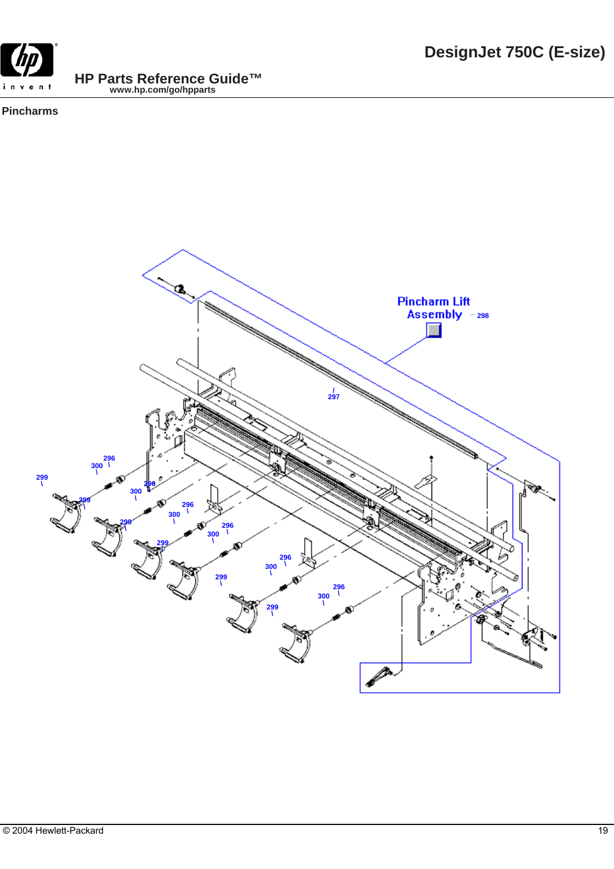

# **Pincharms**

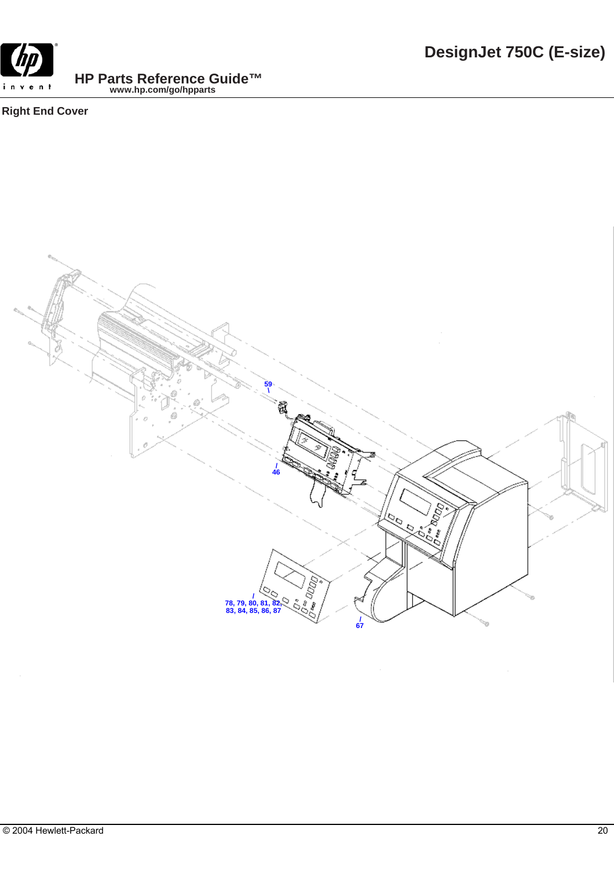

**Right End Cover**

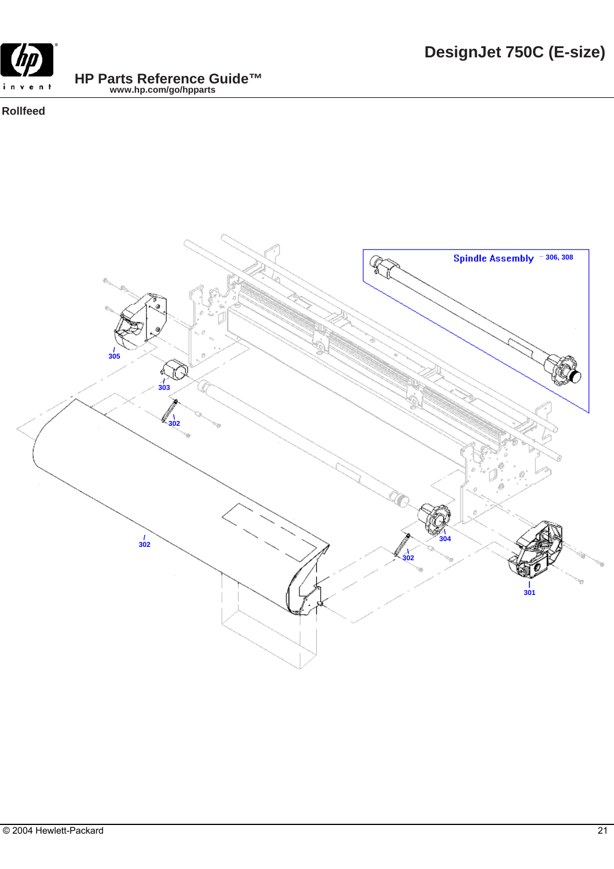

#### **Rollfeed**

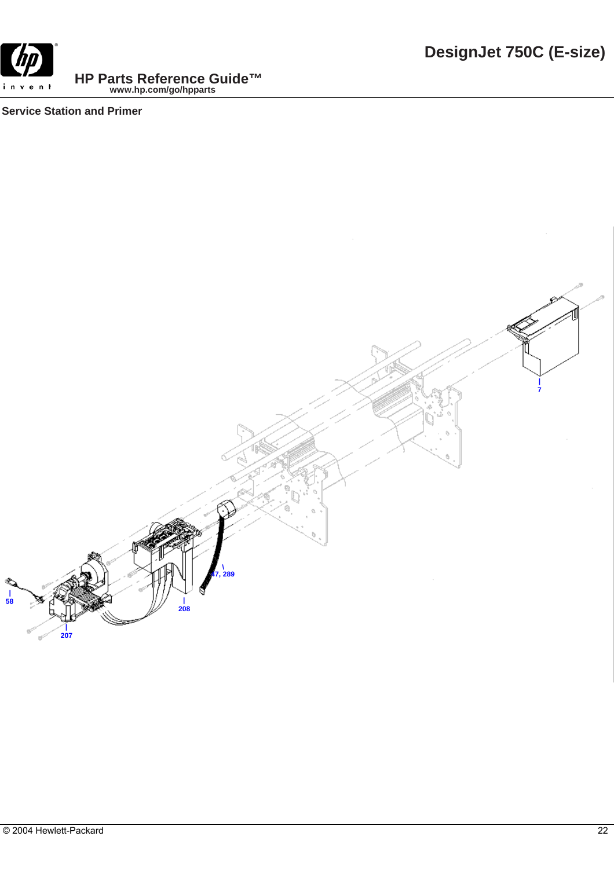

**Service Station and Primer**

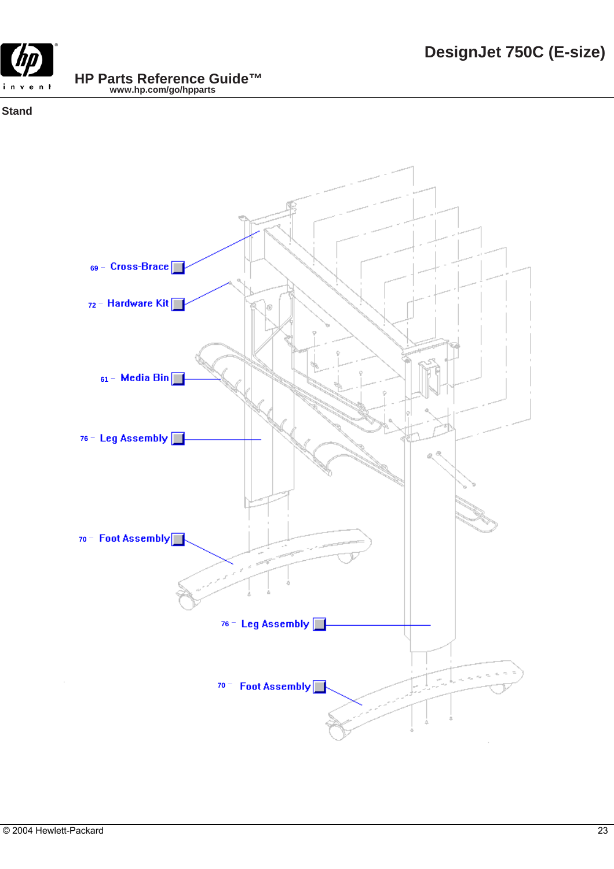

## **Stand**

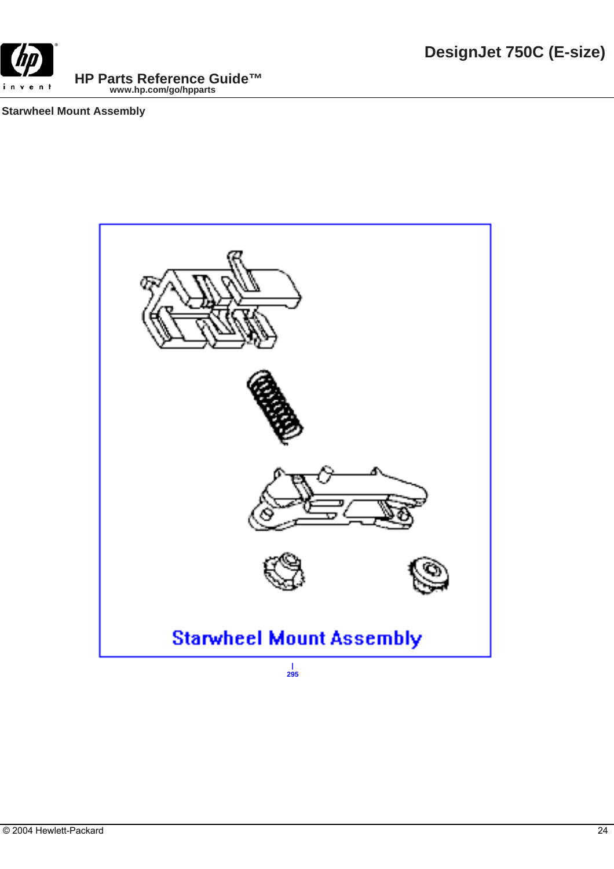

## **Starwheel Mount Assembly**

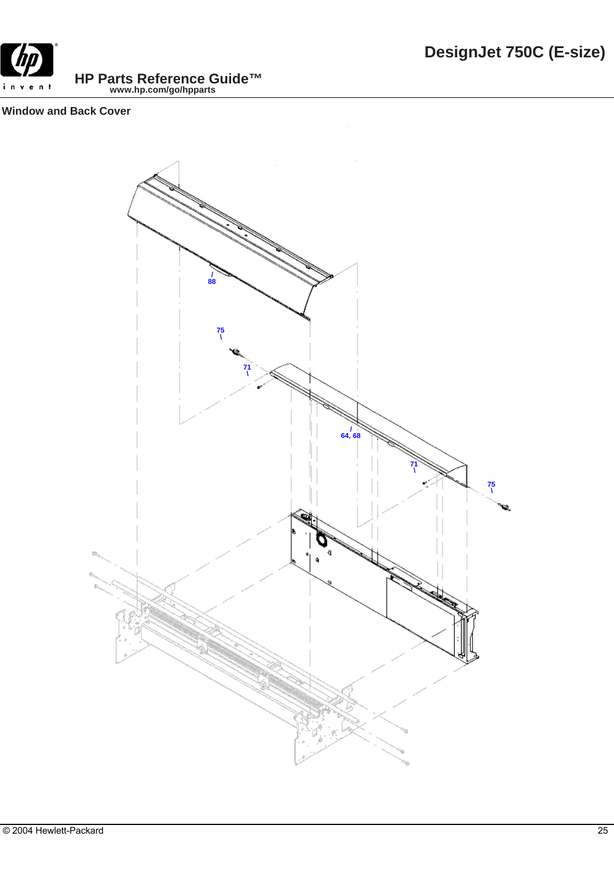

## **Window and Back Cover**

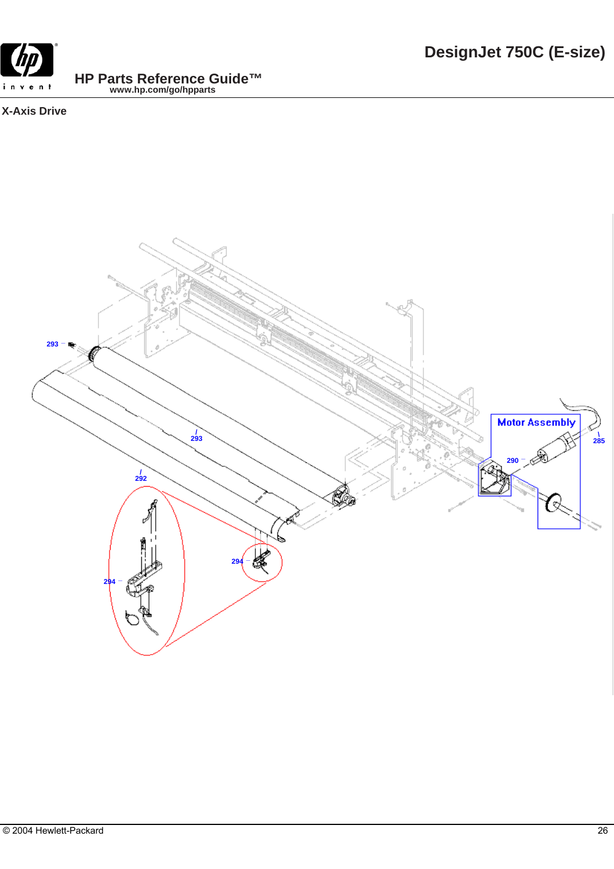

# **X-Axis Drive**

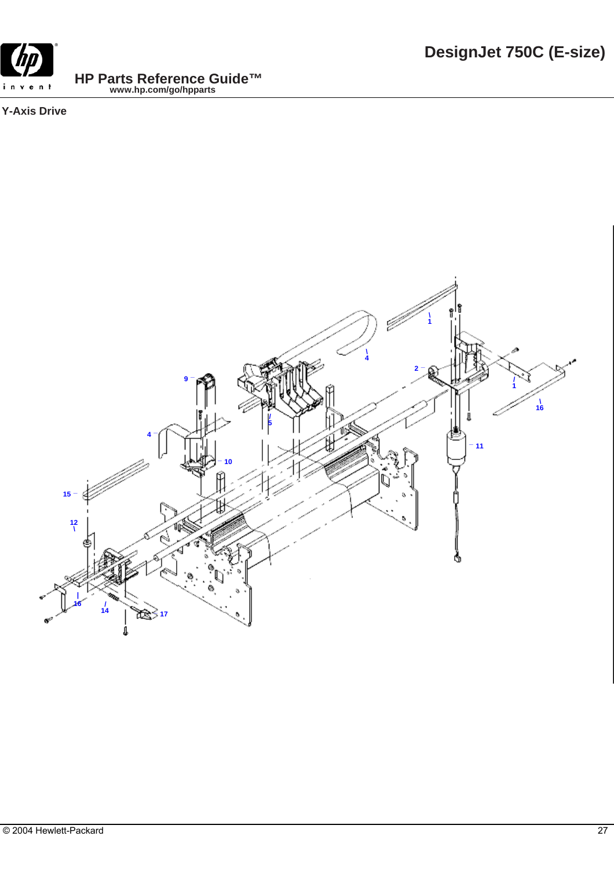

**Y-Axis Drive**